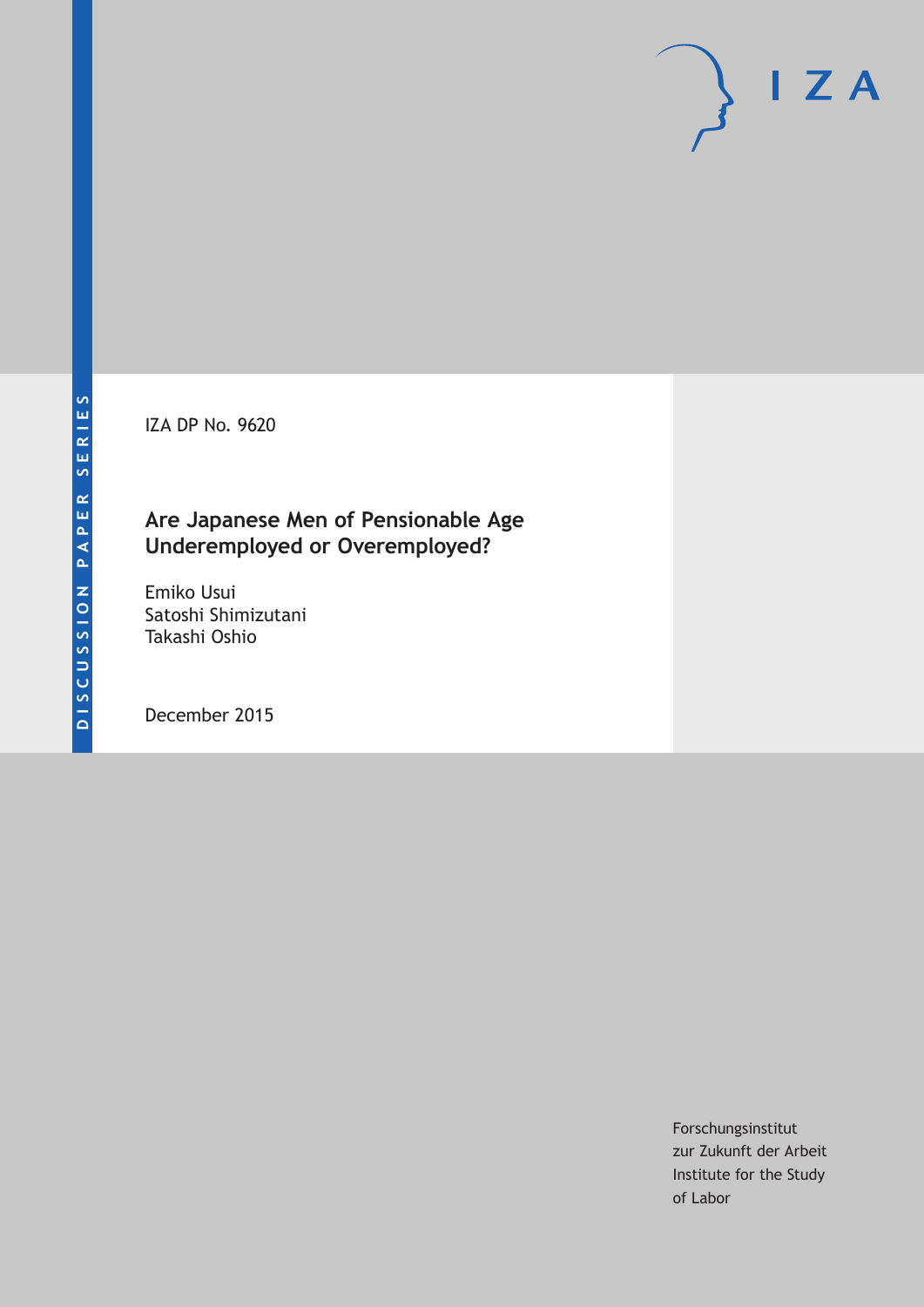IZA DP No. 9620

### **Are Japanese Men of Pensionable Age Underemployed or Overemployed?**

Emiko Usui Satoshi Shimizutani Takashi Oshio

December 2015

Forschungsinstitut zur Zukunft der Arbeit Institute for the Study of Labor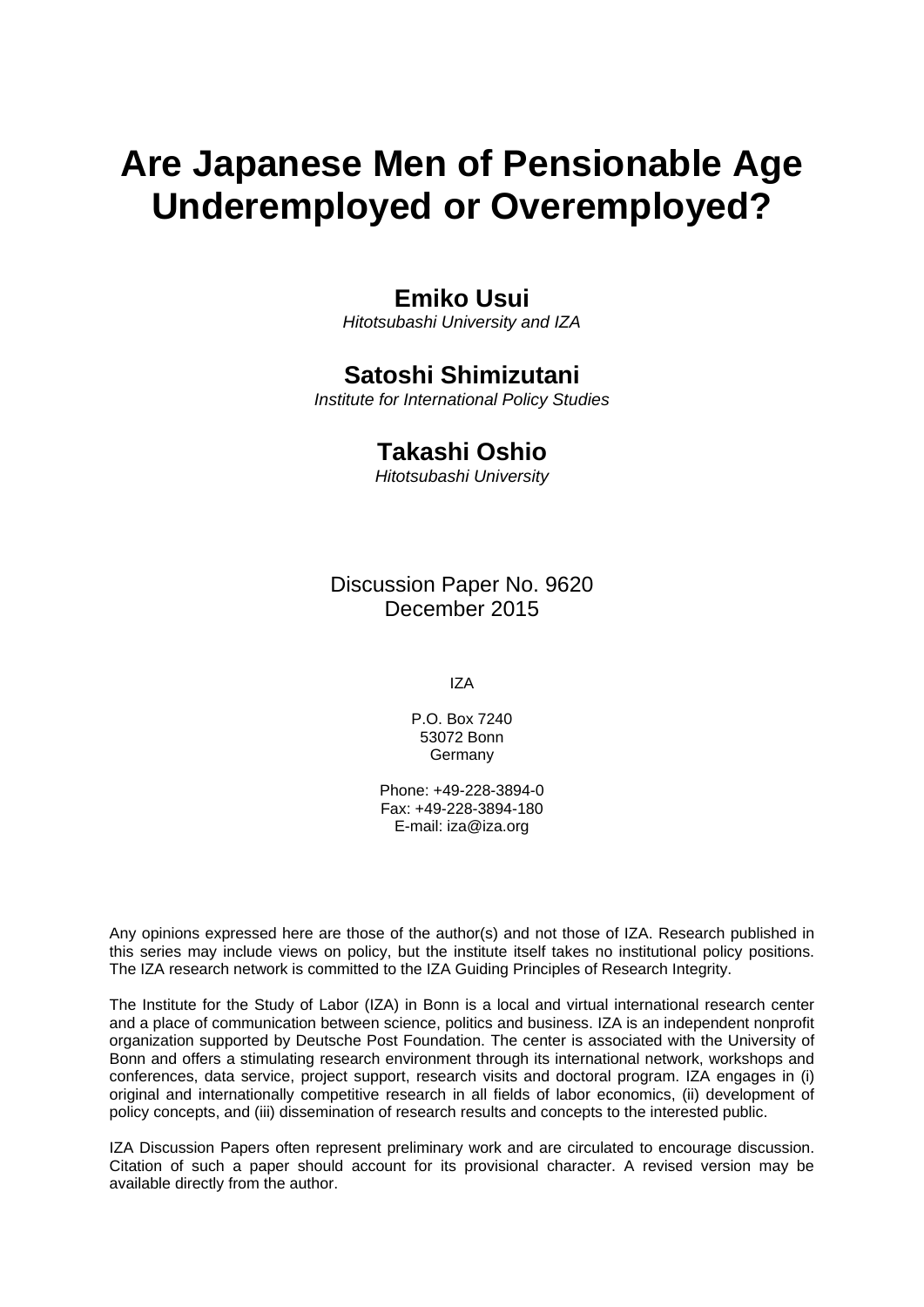# **Are Japanese Men of Pensionable Age Underemployed or Overemployed?**

### **Emiko Usui**

*Hitotsubashi University and IZA* 

### **Satoshi Shimizutani**

*Institute for International Policy Studies* 

### **Takashi Oshio**

*Hitotsubashi University*

Discussion Paper No. 9620 December 2015

IZA

P.O. Box 7240 53072 Bonn **Germany** 

Phone: +49-228-3894-0 Fax: +49-228-3894-180 E-mail: iza@iza.org

Any opinions expressed here are those of the author(s) and not those of IZA. Research published in this series may include views on policy, but the institute itself takes no institutional policy positions. The IZA research network is committed to the IZA Guiding Principles of Research Integrity.

The Institute for the Study of Labor (IZA) in Bonn is a local and virtual international research center and a place of communication between science, politics and business. IZA is an independent nonprofit organization supported by Deutsche Post Foundation. The center is associated with the University of Bonn and offers a stimulating research environment through its international network, workshops and conferences, data service, project support, research visits and doctoral program. IZA engages in (i) original and internationally competitive research in all fields of labor economics, (ii) development of policy concepts, and (iii) dissemination of research results and concepts to the interested public.

IZA Discussion Papers often represent preliminary work and are circulated to encourage discussion. Citation of such a paper should account for its provisional character. A revised version may be available directly from the author.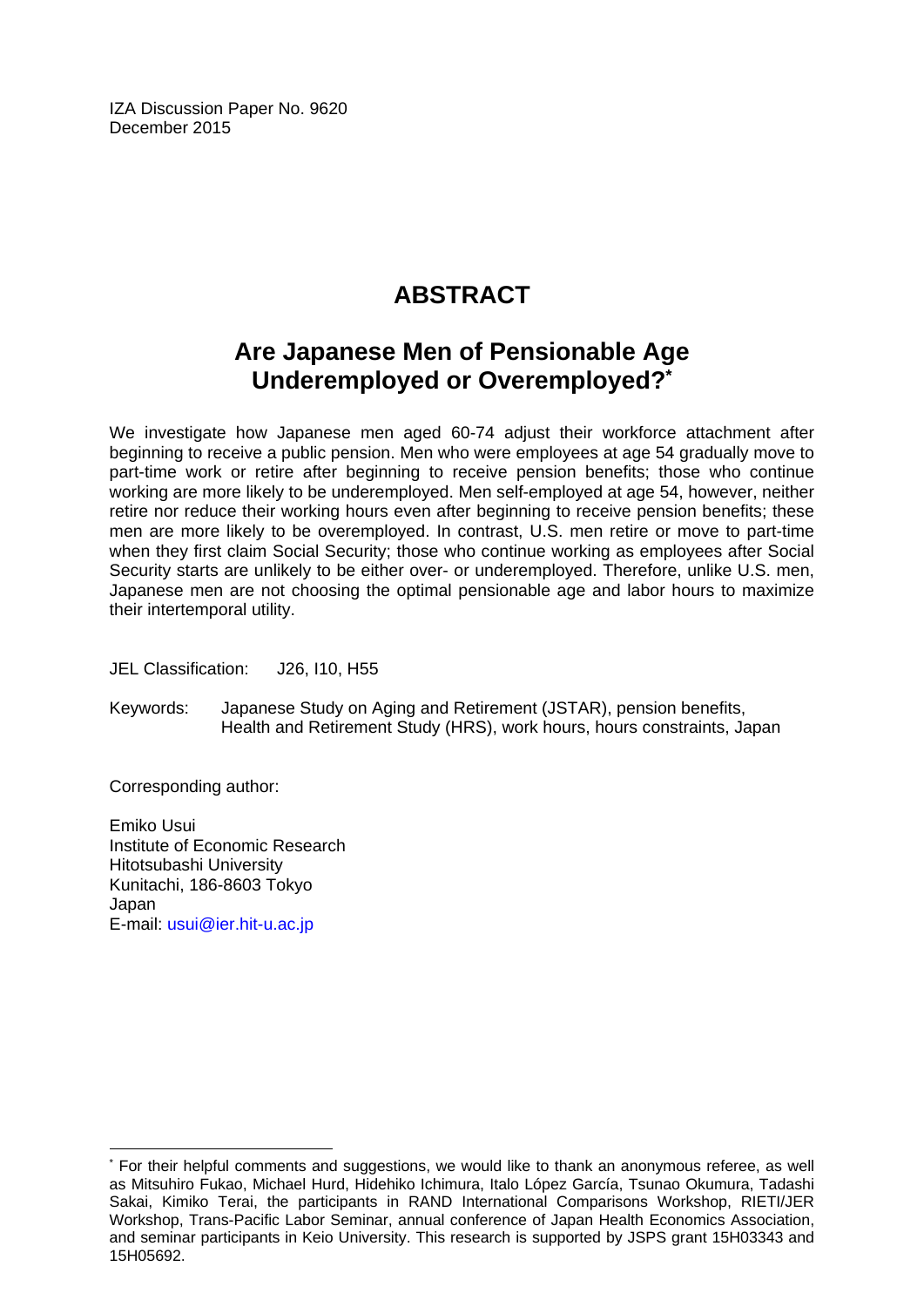IZA Discussion Paper No. 9620 December 2015

## **ABSTRACT**

### **Are Japanese Men of Pensionable Age Underemployed or Overemployed?\***

We investigate how Japanese men aged 60-74 adjust their workforce attachment after beginning to receive a public pension. Men who were employees at age 54 gradually move to part-time work or retire after beginning to receive pension benefits; those who continue working are more likely to be underemployed. Men self-employed at age 54, however, neither retire nor reduce their working hours even after beginning to receive pension benefits; these men are more likely to be overemployed. In contrast, U.S. men retire or move to part-time when they first claim Social Security; those who continue working as employees after Social Security starts are unlikely to be either over- or underemployed. Therefore, unlike U.S. men, Japanese men are not choosing the optimal pensionable age and labor hours to maximize their intertemporal utility.

JEL Classification: J26, I10, H55

Keywords: Japanese Study on Aging and Retirement (JSTAR), pension benefits, Health and Retirement Study (HRS), work hours, hours constraints, Japan

Corresponding author:

 $\overline{\phantom{a}}$ 

Emiko Usui Institute of Economic Research Hitotsubashi University Kunitachi, 186-8603 Tokyo Japan E-mail: usui@ier.hit-u.ac.jp

<sup>\*</sup> For their helpful comments and suggestions, we would like to thank an anonymous referee, as well as Mitsuhiro Fukao, Michael Hurd, Hidehiko Ichimura, Italo López García, Tsunao Okumura, Tadashi Sakai, Kimiko Terai, the participants in RAND International Comparisons Workshop, RIETI/JER Workshop, Trans-Pacific Labor Seminar, annual conference of Japan Health Economics Association, and seminar participants in Keio University. This research is supported by JSPS grant 15H03343 and 15H05692.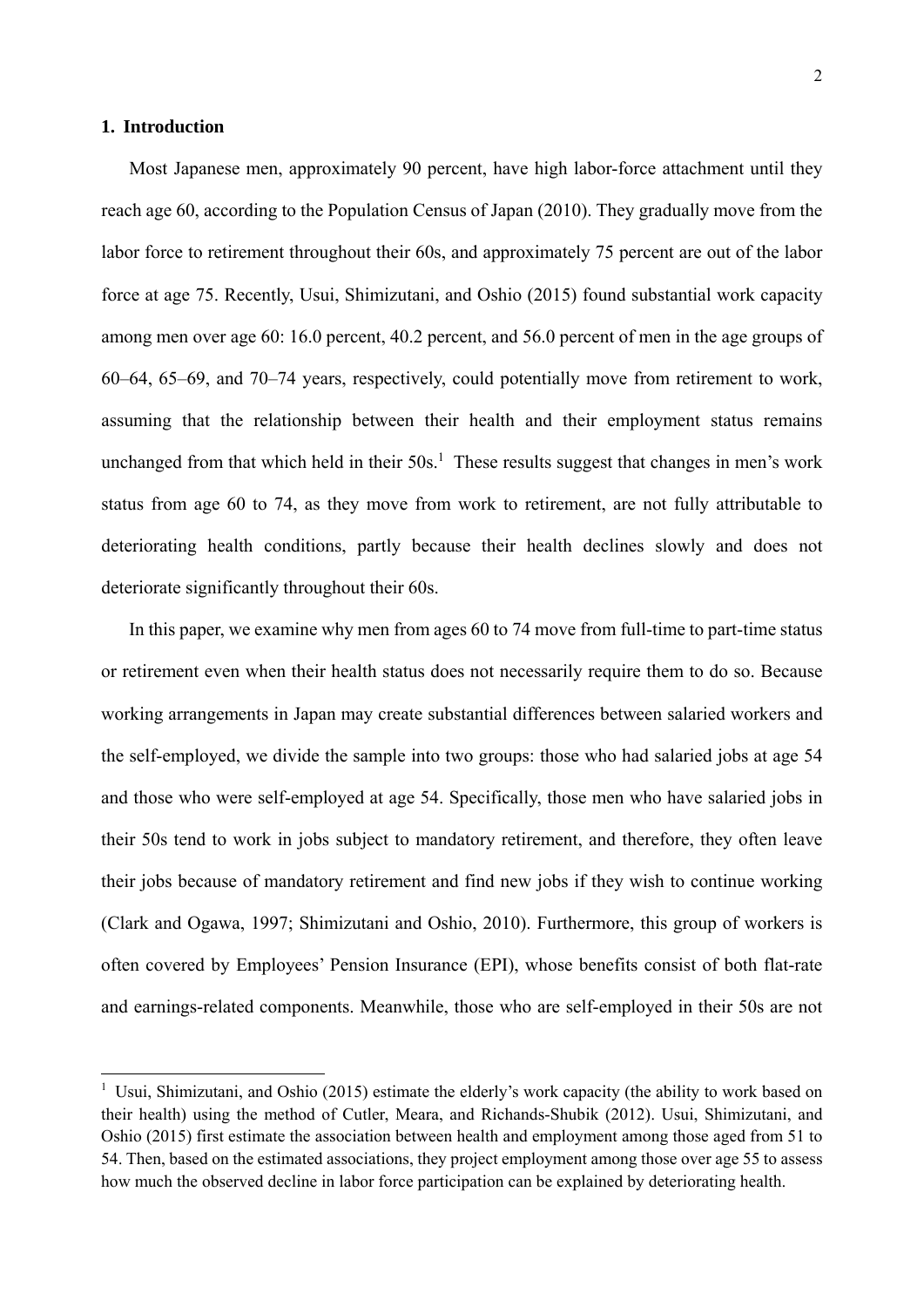#### **1. Introduction**

1

Most Japanese men, approximately 90 percent, have high labor-force attachment until they reach age 60, according to the Population Census of Japan (2010). They gradually move from the labor force to retirement throughout their 60s, and approximately 75 percent are out of the labor force at age 75. Recently, Usui, Shimizutani, and Oshio (2015) found substantial work capacity among men over age 60: 16.0 percent, 40.2 percent, and 56.0 percent of men in the age groups of 60–64, 65–69, and 70–74 years, respectively, could potentially move from retirement to work, assuming that the relationship between their health and their employment status remains unchanged from that which held in their  $50s<sup>1</sup>$ . These results suggest that changes in men's work status from age 60 to 74, as they move from work to retirement, are not fully attributable to deteriorating health conditions, partly because their health declines slowly and does not deteriorate significantly throughout their 60s.

In this paper, we examine why men from ages 60 to 74 move from full-time to part-time status or retirement even when their health status does not necessarily require them to do so. Because working arrangements in Japan may create substantial differences between salaried workers and the self-employed, we divide the sample into two groups: those who had salaried jobs at age 54 and those who were self-employed at age 54. Specifically, those men who have salaried jobs in their 50s tend to work in jobs subject to mandatory retirement, and therefore, they often leave their jobs because of mandatory retirement and find new jobs if they wish to continue working (Clark and Ogawa, 1997; Shimizutani and Oshio, 2010). Furthermore, this group of workers is often covered by Employees' Pension Insurance (EPI), whose benefits consist of both flat-rate and earnings-related components. Meanwhile, those who are self-employed in their 50s are not

<sup>&</sup>lt;sup>1</sup> Usui, Shimizutani, and Oshio (2015) estimate the elderly's work capacity (the ability to work based on their health) using the method of Cutler, Meara, and Richands-Shubik (2012). Usui, Shimizutani, and Oshio (2015) first estimate the association between health and employment among those aged from 51 to 54. Then, based on the estimated associations, they project employment among those over age 55 to assess how much the observed decline in labor force participation can be explained by deteriorating health.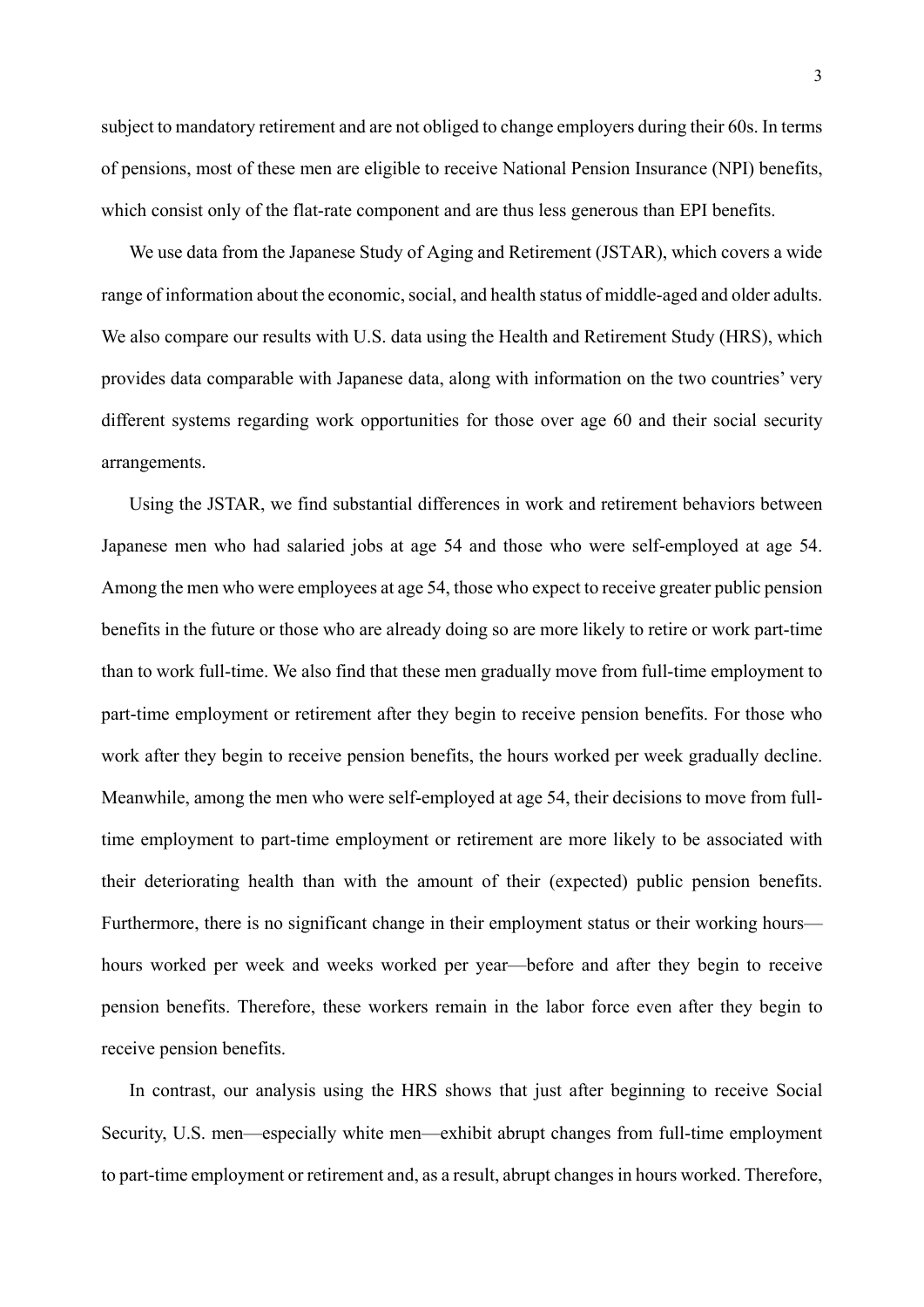subject to mandatory retirement and are not obliged to change employers during their 60s. In terms of pensions, most of these men are eligible to receive National Pension Insurance (NPI) benefits, which consist only of the flat-rate component and are thus less generous than EPI benefits.

We use data from the Japanese Study of Aging and Retirement (JSTAR), which covers a wide range of information about the economic, social, and health status of middle-aged and older adults. We also compare our results with U.S. data using the Health and Retirement Study (HRS), which provides data comparable with Japanese data, along with information on the two countries' very different systems regarding work opportunities for those over age 60 and their social security arrangements.

Using the JSTAR, we find substantial differences in work and retirement behaviors between Japanese men who had salaried jobs at age 54 and those who were self-employed at age 54. Among the men who were employees at age 54, those who expect to receive greater public pension benefits in the future or those who are already doing so are more likely to retire or work part-time than to work full-time. We also find that these men gradually move from full-time employment to part-time employment or retirement after they begin to receive pension benefits. For those who work after they begin to receive pension benefits, the hours worked per week gradually decline. Meanwhile, among the men who were self-employed at age 54, their decisions to move from fulltime employment to part-time employment or retirement are more likely to be associated with their deteriorating health than with the amount of their (expected) public pension benefits. Furthermore, there is no significant change in their employment status or their working hours hours worked per week and weeks worked per year—before and after they begin to receive pension benefits. Therefore, these workers remain in the labor force even after they begin to receive pension benefits.

In contrast, our analysis using the HRS shows that just after beginning to receive Social Security, U.S. men—especially white men—exhibit abrupt changes from full-time employment to part-time employment or retirement and, as a result, abrupt changes in hours worked. Therefore,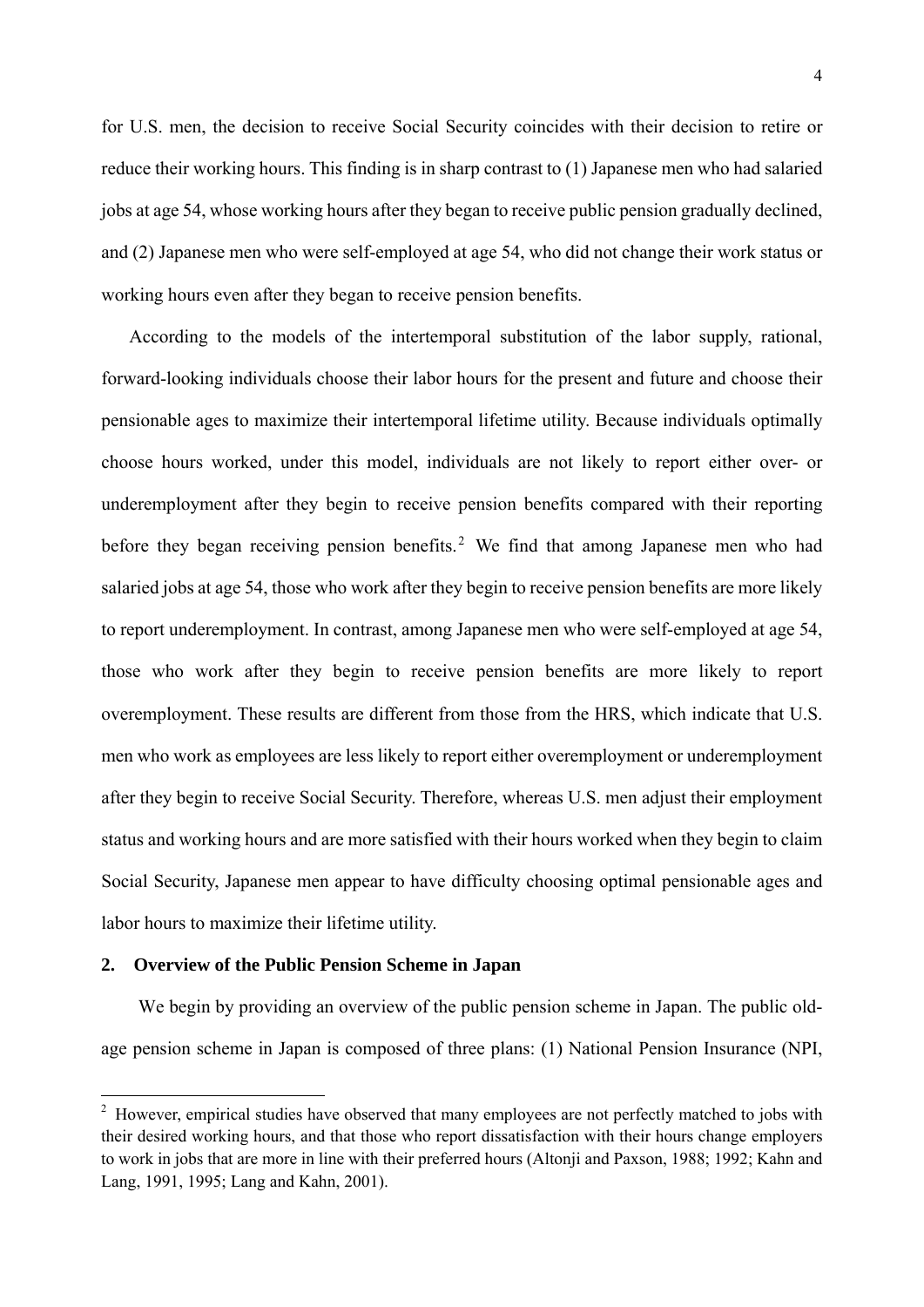for U.S. men, the decision to receive Social Security coincides with their decision to retire or reduce their working hours. This finding is in sharp contrast to (1) Japanese men who had salaried jobs at age 54, whose working hours after they began to receive public pension gradually declined, and (2) Japanese men who were self-employed at age 54, who did not change their work status or working hours even after they began to receive pension benefits.

According to the models of the intertemporal substitution of the labor supply, rational, forward-looking individuals choose their labor hours for the present and future and choose their pensionable ages to maximize their intertemporal lifetime utility. Because individuals optimally choose hours worked, under this model, individuals are not likely to report either over- or underemployment after they begin to receive pension benefits compared with their reporting before they began receiving pension benefits.<sup>2</sup> We find that among Japanese men who had salaried jobs at age 54, those who work after they begin to receive pension benefits are more likely to report underemployment. In contrast, among Japanese men who were self-employed at age 54, those who work after they begin to receive pension benefits are more likely to report overemployment. These results are different from those from the HRS, which indicate that U.S. men who work as employees are less likely to report either overemployment or underemployment after they begin to receive Social Security. Therefore, whereas U.S. men adjust their employment status and working hours and are more satisfied with their hours worked when they begin to claim Social Security, Japanese men appear to have difficulty choosing optimal pensionable ages and labor hours to maximize their lifetime utility.

#### **2. Overview of the Public Pension Scheme in Japan**

-

We begin by providing an overview of the public pension scheme in Japan. The public oldage pension scheme in Japan is composed of three plans: (1) National Pension Insurance (NPI,

<sup>&</sup>lt;sup>2</sup> However, empirical studies have observed that many employees are not perfectly matched to jobs with their desired working hours, and that those who report dissatisfaction with their hours change employers to work in jobs that are more in line with their preferred hours (Altonji and Paxson, 1988; 1992; Kahn and Lang, 1991, 1995; Lang and Kahn, 2001).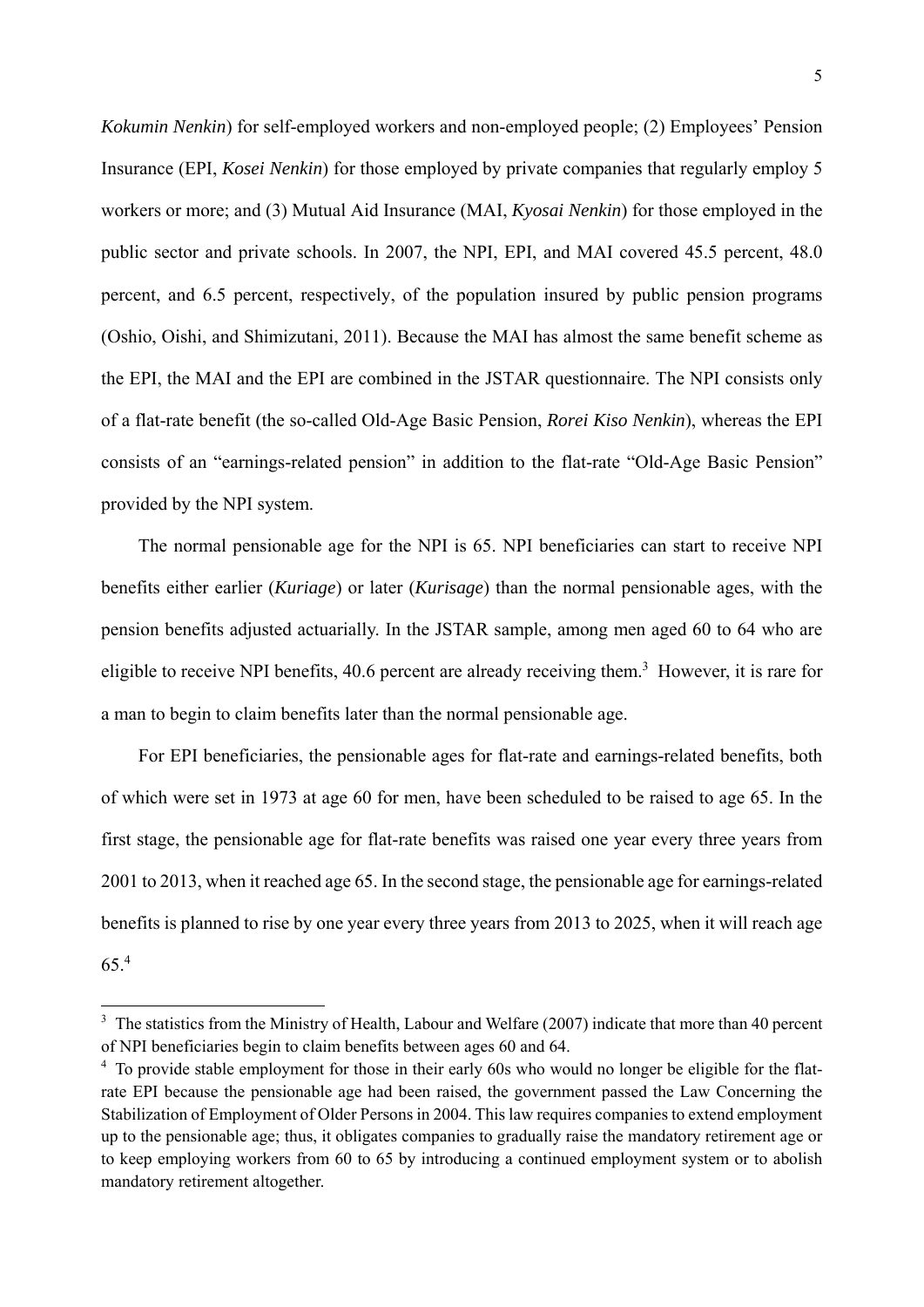*Kokumin Nenkin*) for self-employed workers and non-employed people; (2) Employees' Pension Insurance (EPI, *Kosei Nenkin*) for those employed by private companies that regularly employ 5 workers or more; and (3) Mutual Aid Insurance (MAI, *Kyosai Nenkin*) for those employed in the public sector and private schools. In 2007, the NPI, EPI, and MAI covered 45.5 percent, 48.0 percent, and 6.5 percent, respectively, of the population insured by public pension programs (Oshio, Oishi, and Shimizutani, 2011). Because the MAI has almost the same benefit scheme as the EPI, the MAI and the EPI are combined in the JSTAR questionnaire. The NPI consists only of a flat-rate benefit (the so-called Old-Age Basic Pension, *Rorei Kiso Nenkin*), whereas the EPI consists of an "earnings-related pension" in addition to the flat-rate "Old-Age Basic Pension" provided by the NPI system.

The normal pensionable age for the NPI is 65. NPI beneficiaries can start to receive NPI benefits either earlier (*Kuriage*) or later (*Kurisage*) than the normal pensionable ages, with the pension benefits adjusted actuarially. In the JSTAR sample, among men aged 60 to 64 who are eligible to receive NPI benefits, 40.6 percent are already receiving them.<sup>3</sup> However, it is rare for a man to begin to claim benefits later than the normal pensionable age.

For EPI beneficiaries, the pensionable ages for flat-rate and earnings-related benefits, both of which were set in 1973 at age 60 for men, have been scheduled to be raised to age 65. In the first stage, the pensionable age for flat-rate benefits was raised one year every three years from 2001 to 2013, when it reached age 65. In the second stage, the pensionable age for earnings-related benefits is planned to rise by one year every three years from 2013 to 2025, when it will reach age 65.4

<sup>&</sup>lt;sup>3</sup> The statistics from the Ministry of Health, Labour and Welfare (2007) indicate that more than 40 percent of NPI beneficiaries begin to claim benefits between ages 60 and 64.

<sup>&</sup>lt;sup>4</sup> To provide stable employment for those in their early 60s who would no longer be eligible for the flatrate EPI because the pensionable age had been raised, the government passed the Law Concerning the Stabilization of Employment of Older Persons in 2004. This law requires companies to extend employment up to the pensionable age; thus, it obligates companies to gradually raise the mandatory retirement age or to keep employing workers from 60 to 65 by introducing a continued employment system or to abolish mandatory retirement altogether.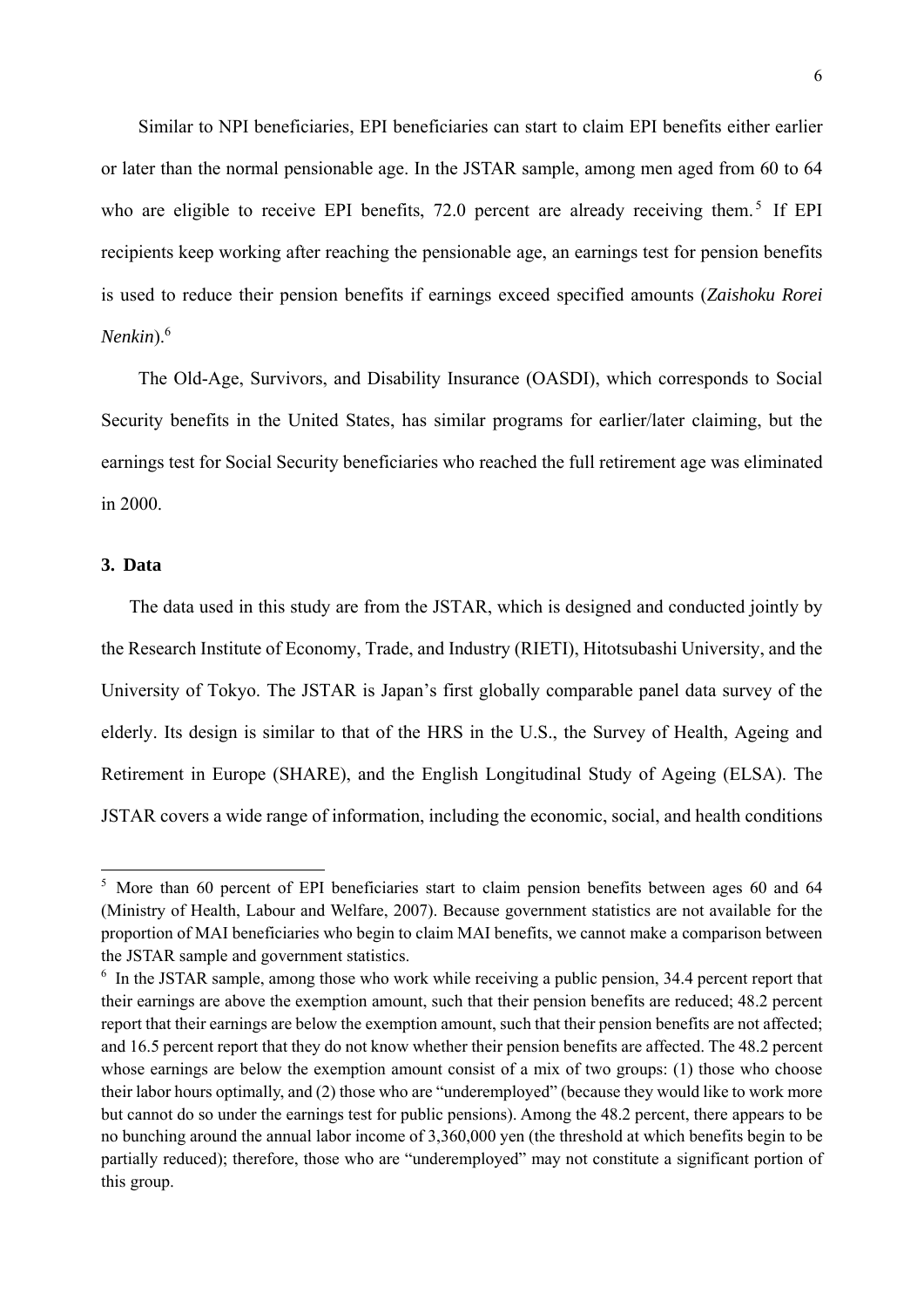Similar to NPI beneficiaries, EPI beneficiaries can start to claim EPI benefits either earlier or later than the normal pensionable age. In the JSTAR sample, among men aged from 60 to 64 who are eligible to receive EPI benefits, 72.0 percent are already receiving them.<sup>5</sup> If EPI recipients keep working after reaching the pensionable age, an earnings test for pension benefits is used to reduce their pension benefits if earnings exceed specified amounts (*Zaishoku Rorei Nenkin*).6

The Old-Age, Survivors, and Disability Insurance (OASDI), which corresponds to Social Security benefits in the United States, has similar programs for earlier/later claiming, but the earnings test for Social Security beneficiaries who reached the full retirement age was eliminated in 2000.

#### **3. Data**

-

The data used in this study are from the JSTAR, which is designed and conducted jointly by the Research Institute of Economy, Trade, and Industry (RIETI), Hitotsubashi University, and the University of Tokyo. The JSTAR is Japan's first globally comparable panel data survey of the elderly. Its design is similar to that of the HRS in the U.S., the Survey of Health, Ageing and Retirement in Europe (SHARE), and the English Longitudinal Study of Ageing (ELSA). The JSTAR covers a wide range of information, including the economic, social, and health conditions

<sup>&</sup>lt;sup>5</sup> More than 60 percent of EPI beneficiaries start to claim pension benefits between ages 60 and 64 (Ministry of Health, Labour and Welfare, 2007). Because government statistics are not available for the proportion of MAI beneficiaries who begin to claim MAI benefits, we cannot make a comparison between the JSTAR sample and government statistics.

<sup>&</sup>lt;sup>6</sup> In the JSTAR sample, among those who work while receiving a public pension, 34.4 percent report that their earnings are above the exemption amount, such that their pension benefits are reduced; 48.2 percent report that their earnings are below the exemption amount, such that their pension benefits are not affected; and 16.5 percent report that they do not know whether their pension benefits are affected. The 48.2 percent whose earnings are below the exemption amount consist of a mix of two groups: (1) those who choose their labor hours optimally, and (2) those who are "underemployed" (because they would like to work more but cannot do so under the earnings test for public pensions). Among the 48.2 percent, there appears to be no bunching around the annual labor income of 3,360,000 yen (the threshold at which benefits begin to be partially reduced); therefore, those who are "underemployed" may not constitute a significant portion of this group.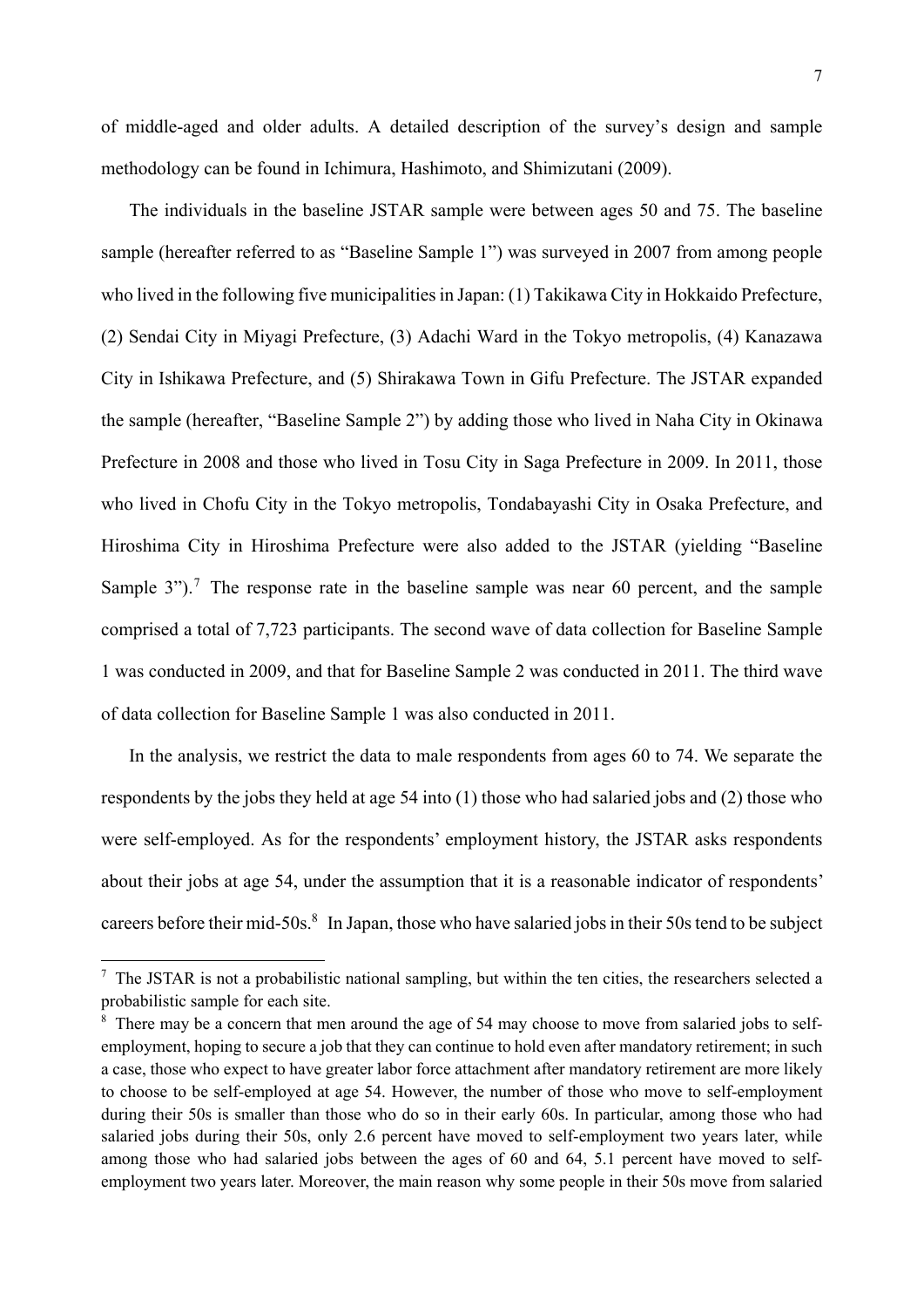of middle-aged and older adults. A detailed description of the survey's design and sample methodology can be found in Ichimura, Hashimoto, and Shimizutani (2009).

The individuals in the baseline JSTAR sample were between ages 50 and 75. The baseline sample (hereafter referred to as "Baseline Sample 1") was surveyed in 2007 from among people who lived in the following five municipalities in Japan: (1) Takikawa City in Hokkaido Prefecture, (2) Sendai City in Miyagi Prefecture, (3) Adachi Ward in the Tokyo metropolis, (4) Kanazawa City in Ishikawa Prefecture, and (5) Shirakawa Town in Gifu Prefecture. The JSTAR expanded the sample (hereafter, "Baseline Sample 2") by adding those who lived in Naha City in Okinawa Prefecture in 2008 and those who lived in Tosu City in Saga Prefecture in 2009. In 2011, those who lived in Chofu City in the Tokyo metropolis, Tondabayashi City in Osaka Prefecture, and Hiroshima City in Hiroshima Prefecture were also added to the JSTAR (yielding "Baseline Sample 3").<sup>7</sup> The response rate in the baseline sample was near 60 percent, and the sample comprised a total of 7,723 participants. The second wave of data collection for Baseline Sample 1 was conducted in 2009, and that for Baseline Sample 2 was conducted in 2011. The third wave of data collection for Baseline Sample 1 was also conducted in 2011.

In the analysis, we restrict the data to male respondents from ages 60 to 74. We separate the respondents by the jobs they held at age 54 into (1) those who had salaried jobs and (2) those who were self-employed. As for the respondents' employment history, the JSTAR asks respondents about their jobs at age 54, under the assumption that it is a reasonable indicator of respondents' careers before their mid-50s.<sup>8</sup> In Japan, those who have salaried jobs in their 50s tend to be subject

-

 $<sup>7</sup>$  The JSTAR is not a probabilistic national sampling, but within the ten cities, the researchers selected a</sup> probabilistic sample for each site.

<sup>&</sup>lt;sup>8</sup> There may be a concern that men around the age of 54 may choose to move from salaried jobs to selfemployment, hoping to secure a job that they can continue to hold even after mandatory retirement; in such a case, those who expect to have greater labor force attachment after mandatory retirement are more likely to choose to be self-employed at age 54. However, the number of those who move to self-employment during their 50s is smaller than those who do so in their early 60s. In particular, among those who had salaried jobs during their 50s, only 2.6 percent have moved to self-employment two years later, while among those who had salaried jobs between the ages of 60 and 64, 5.1 percent have moved to selfemployment two years later. Moreover, the main reason why some people in their 50s move from salaried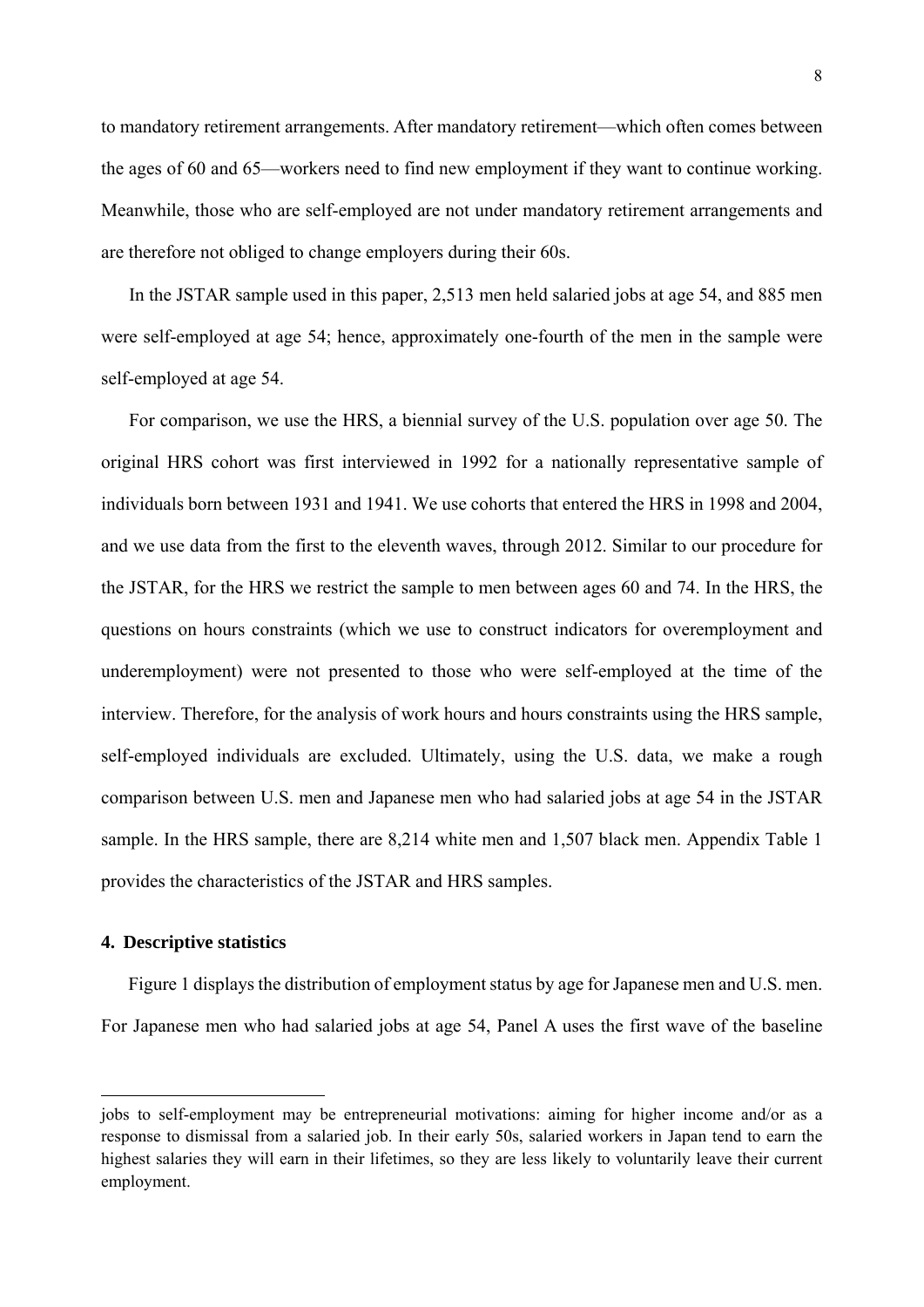to mandatory retirement arrangements. After mandatory retirement—which often comes between the ages of 60 and 65—workers need to find new employment if they want to continue working. Meanwhile, those who are self-employed are not under mandatory retirement arrangements and are therefore not obliged to change employers during their 60s.

In the JSTAR sample used in this paper, 2,513 men held salaried jobs at age 54, and 885 men were self-employed at age 54; hence, approximately one-fourth of the men in the sample were self-employed at age 54.

For comparison, we use the HRS, a biennial survey of the U.S. population over age 50. The original HRS cohort was first interviewed in 1992 for a nationally representative sample of individuals born between 1931 and 1941. We use cohorts that entered the HRS in 1998 and 2004, and we use data from the first to the eleventh waves, through 2012. Similar to our procedure for the JSTAR, for the HRS we restrict the sample to men between ages 60 and 74. In the HRS, the questions on hours constraints (which we use to construct indicators for overemployment and underemployment) were not presented to those who were self-employed at the time of the interview. Therefore, for the analysis of work hours and hours constraints using the HRS sample, self-employed individuals are excluded. Ultimately, using the U.S. data, we make a rough comparison between U.S. men and Japanese men who had salaried jobs at age 54 in the JSTAR sample. In the HRS sample, there are 8,214 white men and 1,507 black men. Appendix Table 1 provides the characteristics of the JSTAR and HRS samples.

#### **4. Descriptive statistics**

-

Figure 1 displays the distribution of employment status by age for Japanese men and U.S. men. For Japanese men who had salaried jobs at age 54, Panel A uses the first wave of the baseline

jobs to self-employment may be entrepreneurial motivations: aiming for higher income and/or as a response to dismissal from a salaried job. In their early 50s, salaried workers in Japan tend to earn the highest salaries they will earn in their lifetimes, so they are less likely to voluntarily leave their current employment.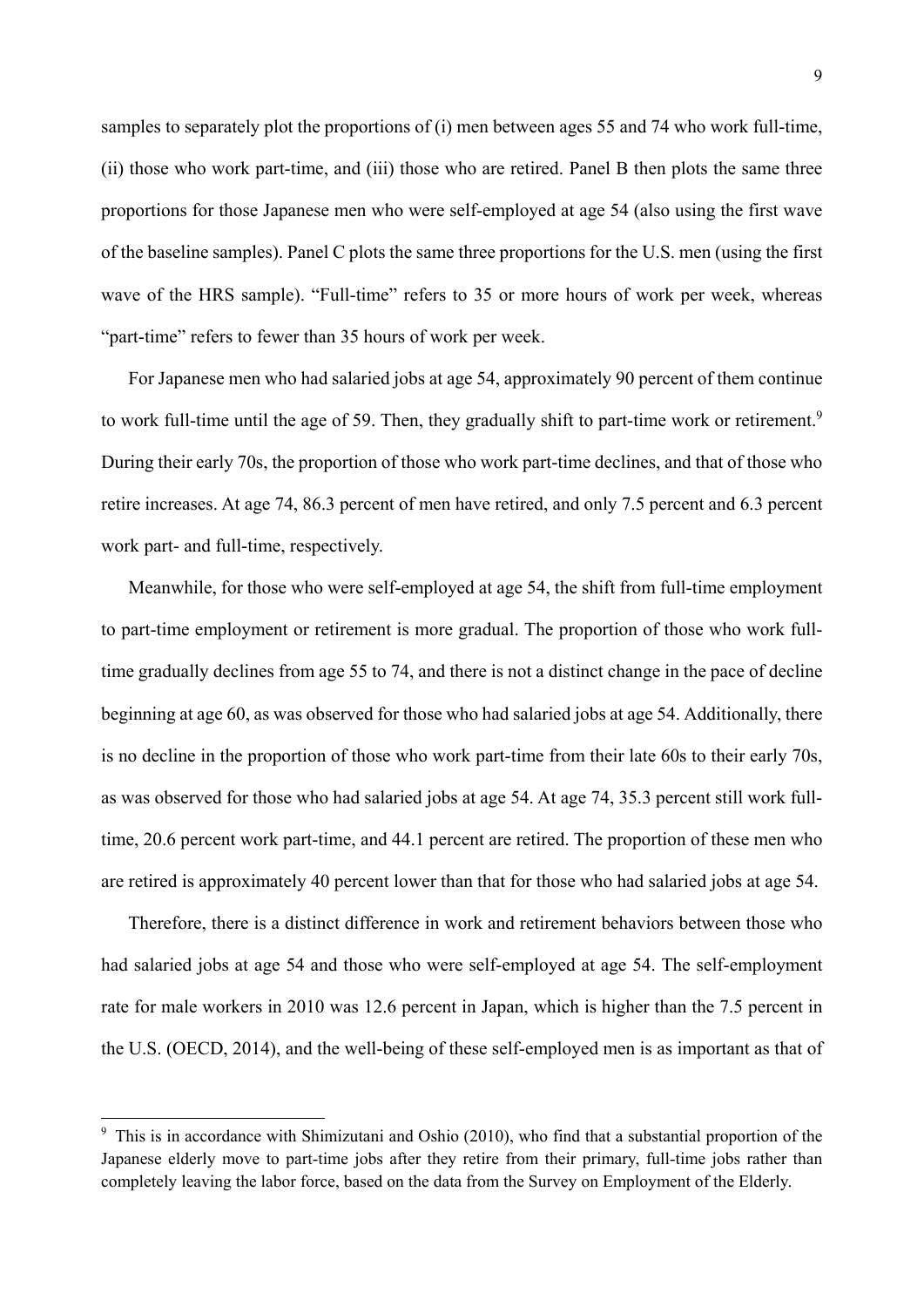samples to separately plot the proportions of (i) men between ages 55 and 74 who work full-time, (ii) those who work part-time, and (iii) those who are retired. Panel B then plots the same three proportions for those Japanese men who were self-employed at age 54 (also using the first wave of the baseline samples). Panel C plots the same three proportions for the U.S. men (using the first wave of the HRS sample). "Full-time" refers to 35 or more hours of work per week, whereas "part-time" refers to fewer than 35 hours of work per week.

For Japanese men who had salaried jobs at age 54, approximately 90 percent of them continue to work full-time until the age of 59. Then, they gradually shift to part-time work or retirement.<sup>9</sup> During their early 70s, the proportion of those who work part-time declines, and that of those who retire increases. At age 74, 86.3 percent of men have retired, and only 7.5 percent and 6.3 percent work part- and full-time, respectively.

Meanwhile, for those who were self-employed at age 54, the shift from full-time employment to part-time employment or retirement is more gradual. The proportion of those who work fulltime gradually declines from age 55 to 74, and there is not a distinct change in the pace of decline beginning at age 60, as was observed for those who had salaried jobs at age 54. Additionally, there is no decline in the proportion of those who work part-time from their late 60s to their early 70s, as was observed for those who had salaried jobs at age 54. At age 74, 35.3 percent still work fulltime, 20.6 percent work part-time, and 44.1 percent are retired. The proportion of these men who are retired is approximately 40 percent lower than that for those who had salaried jobs at age 54.

Therefore, there is a distinct difference in work and retirement behaviors between those who had salaried jobs at age 54 and those who were self-employed at age 54. The self-employment rate for male workers in 2010 was 12.6 percent in Japan, which is higher than the 7.5 percent in the U.S. (OECD, 2014), and the well-being of these self-employed men is as important as that of

1

<sup>&</sup>lt;sup>9</sup> This is in accordance with Shimizutani and Oshio (2010), who find that a substantial proportion of the Japanese elderly move to part-time jobs after they retire from their primary, full-time jobs rather than completely leaving the labor force, based on the data from the Survey on Employment of the Elderly.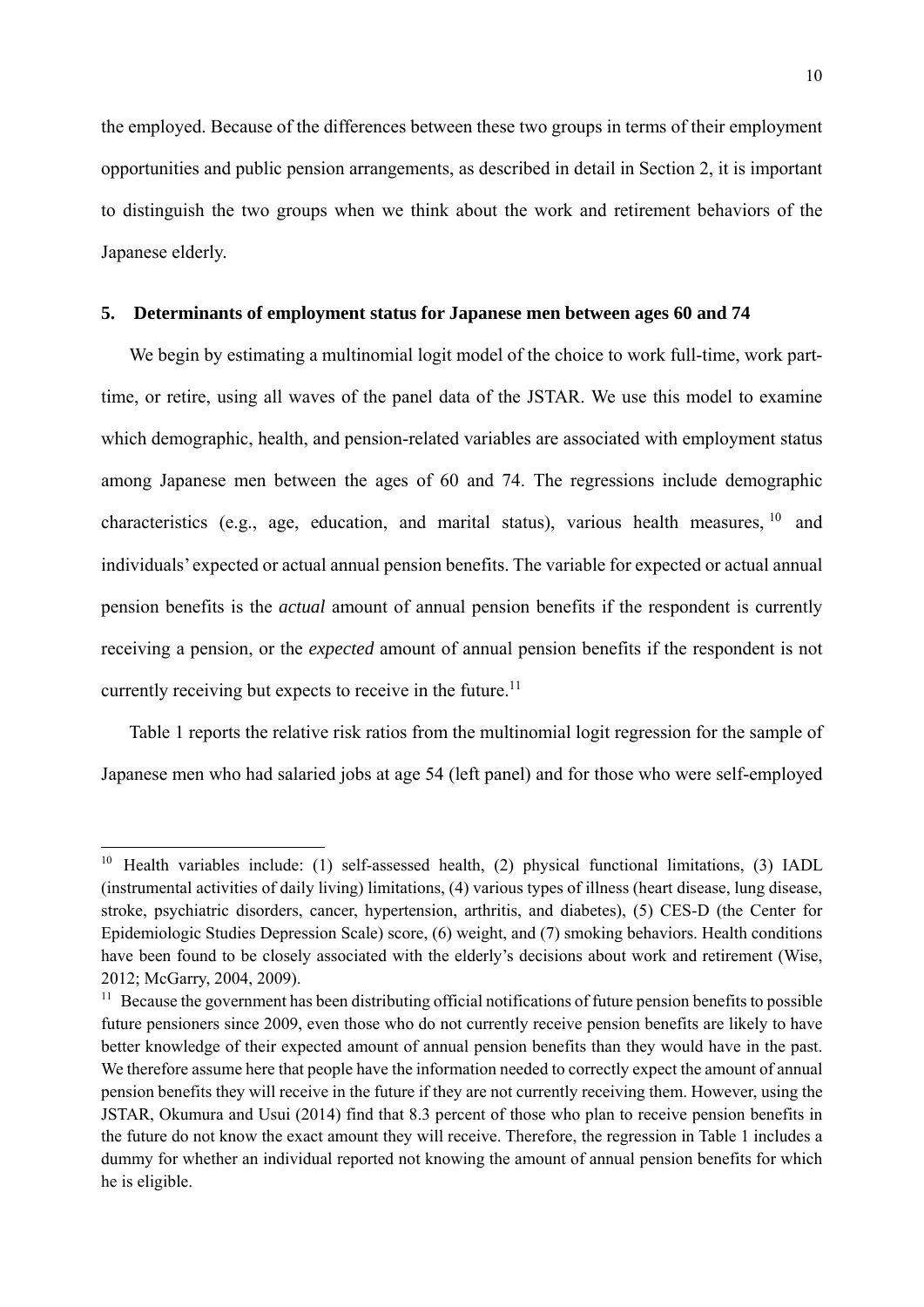the employed. Because of the differences between these two groups in terms of their employment opportunities and public pension arrangements, as described in detail in Section 2, it is important to distinguish the two groups when we think about the work and retirement behaviors of the Japanese elderly.

#### **5. Determinants of employment status for Japanese men between ages 60 and 74**

We begin by estimating a multinomial logit model of the choice to work full-time, work parttime, or retire, using all waves of the panel data of the JSTAR. We use this model to examine which demographic, health, and pension-related variables are associated with employment status among Japanese men between the ages of 60 and 74. The regressions include demographic characteristics (e.g., age, education, and marital status), various health measures,  $10$  and individuals' expected or actual annual pension benefits. The variable for expected or actual annual pension benefits is the *actual* amount of annual pension benefits if the respondent is currently receiving a pension, or the *expected* amount of annual pension benefits if the respondent is not currently receiving but expects to receive in the future.<sup>11</sup>

Table 1 reports the relative risk ratios from the multinomial logit regression for the sample of Japanese men who had salaried jobs at age 54 (left panel) and for those who were self-employed

-

<sup>&</sup>lt;sup>10</sup> Health variables include: (1) self-assessed health, (2) physical functional limitations, (3) IADL (instrumental activities of daily living) limitations, (4) various types of illness (heart disease, lung disease, stroke, psychiatric disorders, cancer, hypertension, arthritis, and diabetes), (5) CES-D (the Center for Epidemiologic Studies Depression Scale) score, (6) weight, and (7) smoking behaviors. Health conditions have been found to be closely associated with the elderly's decisions about work and retirement (Wise, 2012; McGarry, 2004, 2009).

<sup>&</sup>lt;sup>11</sup> Because the government has been distributing official notifications of future pension benefits to possible future pensioners since 2009, even those who do not currently receive pension benefits are likely to have better knowledge of their expected amount of annual pension benefits than they would have in the past. We therefore assume here that people have the information needed to correctly expect the amount of annual pension benefits they will receive in the future if they are not currently receiving them. However, using the JSTAR, Okumura and Usui (2014) find that 8.3 percent of those who plan to receive pension benefits in the future do not know the exact amount they will receive. Therefore, the regression in Table 1 includes a dummy for whether an individual reported not knowing the amount of annual pension benefits for which he is eligible.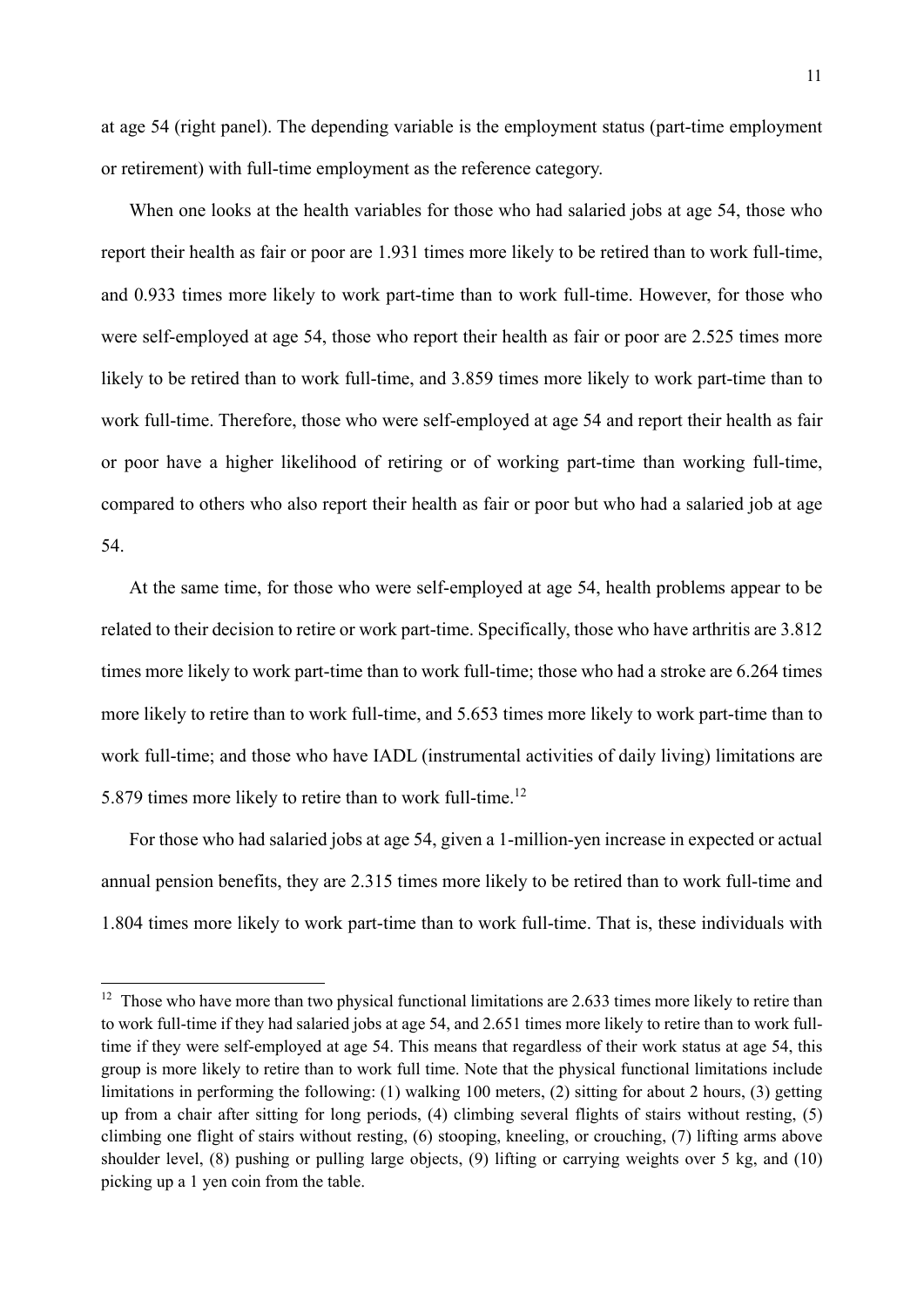at age 54 (right panel). The depending variable is the employment status (part-time employment or retirement) with full-time employment as the reference category.

When one looks at the health variables for those who had salaried jobs at age 54, those who report their health as fair or poor are 1.931 times more likely to be retired than to work full-time, and 0.933 times more likely to work part-time than to work full-time. However, for those who were self-employed at age 54, those who report their health as fair or poor are 2.525 times more likely to be retired than to work full-time, and 3.859 times more likely to work part-time than to work full-time. Therefore, those who were self-employed at age 54 and report their health as fair or poor have a higher likelihood of retiring or of working part-time than working full-time, compared to others who also report their health as fair or poor but who had a salaried job at age 54.

At the same time, for those who were self-employed at age 54, health problems appear to be related to their decision to retire or work part-time. Specifically, those who have arthritis are 3.812 times more likely to work part-time than to work full-time; those who had a stroke are 6.264 times more likely to retire than to work full-time, and 5.653 times more likely to work part-time than to work full-time; and those who have IADL (instrumental activities of daily living) limitations are 5.879 times more likely to retire than to work full-time.12

For those who had salaried jobs at age 54, given a 1-million-yen increase in expected or actual annual pension benefits, they are 2.315 times more likely to be retired than to work full-time and 1.804 times more likely to work part-time than to work full-time. That is, these individuals with

-

<sup>&</sup>lt;sup>12</sup> Those who have more than two physical functional limitations are 2.633 times more likely to retire than to work full-time if they had salaried jobs at age 54, and 2.651 times more likely to retire than to work fulltime if they were self-employed at age 54. This means that regardless of their work status at age 54, this group is more likely to retire than to work full time. Note that the physical functional limitations include limitations in performing the following: (1) walking 100 meters, (2) sitting for about 2 hours, (3) getting up from a chair after sitting for long periods, (4) climbing several flights of stairs without resting, (5) climbing one flight of stairs without resting, (6) stooping, kneeling, or crouching, (7) lifting arms above shoulder level, (8) pushing or pulling large objects, (9) lifting or carrying weights over 5 kg, and (10) picking up a 1 yen coin from the table.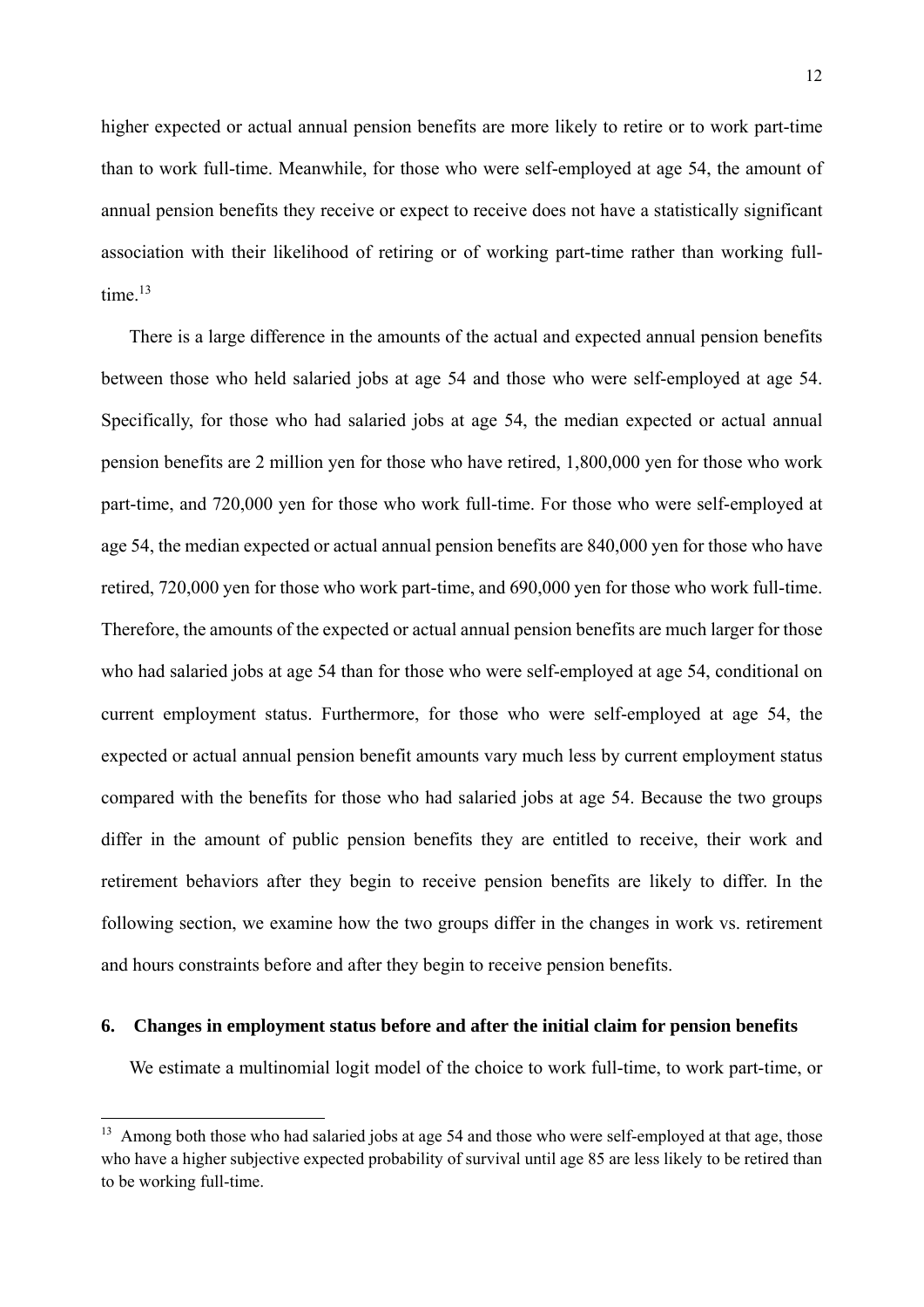higher expected or actual annual pension benefits are more likely to retire or to work part-time than to work full-time. Meanwhile, for those who were self-employed at age 54, the amount of annual pension benefits they receive or expect to receive does not have a statistically significant association with their likelihood of retiring or of working part-time rather than working fulltime $13$ 

There is a large difference in the amounts of the actual and expected annual pension benefits between those who held salaried jobs at age 54 and those who were self-employed at age 54. Specifically, for those who had salaried jobs at age 54, the median expected or actual annual pension benefits are 2 million yen for those who have retired, 1,800,000 yen for those who work part-time, and 720,000 yen for those who work full-time. For those who were self-employed at age 54, the median expected or actual annual pension benefits are 840,000 yen for those who have retired, 720,000 yen for those who work part-time, and 690,000 yen for those who work full-time. Therefore, the amounts of the expected or actual annual pension benefits are much larger for those who had salaried jobs at age 54 than for those who were self-employed at age 54, conditional on current employment status. Furthermore, for those who were self-employed at age 54, the expected or actual annual pension benefit amounts vary much less by current employment status compared with the benefits for those who had salaried jobs at age 54. Because the two groups differ in the amount of public pension benefits they are entitled to receive, their work and retirement behaviors after they begin to receive pension benefits are likely to differ. In the following section, we examine how the two groups differ in the changes in work vs. retirement and hours constraints before and after they begin to receive pension benefits.

#### **6. Changes in employment status before and after the initial claim for pension benefits**

1

We estimate a multinomial logit model of the choice to work full-time, to work part-time, or

<sup>&</sup>lt;sup>13</sup> Among both those who had salaried jobs at age 54 and those who were self-employed at that age, those who have a higher subjective expected probability of survival until age 85 are less likely to be retired than to be working full-time.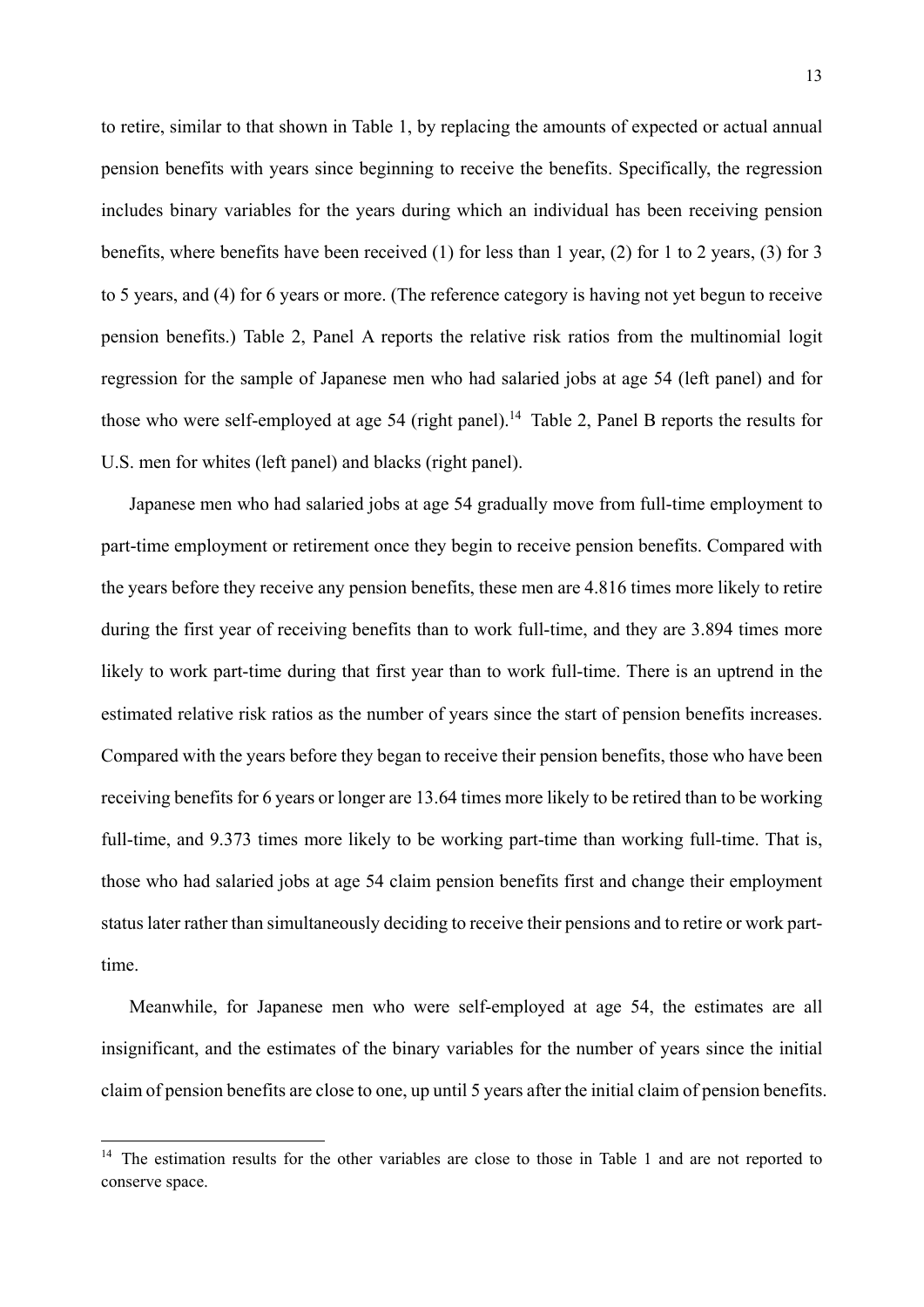to retire, similar to that shown in Table 1, by replacing the amounts of expected or actual annual pension benefits with years since beginning to receive the benefits. Specifically, the regression includes binary variables for the years during which an individual has been receiving pension benefits, where benefits have been received (1) for less than 1 year, (2) for 1 to 2 years, (3) for 3 to 5 years, and (4) for 6 years or more. (The reference category is having not yet begun to receive pension benefits.) Table 2, Panel A reports the relative risk ratios from the multinomial logit regression for the sample of Japanese men who had salaried jobs at age 54 (left panel) and for those who were self-employed at age 54 (right panel).<sup>14</sup> Table 2, Panel B reports the results for U.S. men for whites (left panel) and blacks (right panel).

Japanese men who had salaried jobs at age 54 gradually move from full-time employment to part-time employment or retirement once they begin to receive pension benefits. Compared with the years before they receive any pension benefits, these men are 4.816 times more likely to retire during the first year of receiving benefits than to work full-time, and they are 3.894 times more likely to work part-time during that first year than to work full-time. There is an uptrend in the estimated relative risk ratios as the number of years since the start of pension benefits increases. Compared with the years before they began to receive their pension benefits, those who have been receiving benefits for 6 years or longer are 13.64 times more likely to be retired than to be working full-time, and 9.373 times more likely to be working part-time than working full-time. That is, those who had salaried jobs at age 54 claim pension benefits first and change their employment status later rather than simultaneously deciding to receive their pensions and to retire or work parttime.

Meanwhile, for Japanese men who were self-employed at age 54, the estimates are all insignificant, and the estimates of the binary variables for the number of years since the initial claim of pension benefits are close to one, up until 5 years after the initial claim of pension benefits.

1

<sup>&</sup>lt;sup>14</sup> The estimation results for the other variables are close to those in Table 1 and are not reported to conserve space.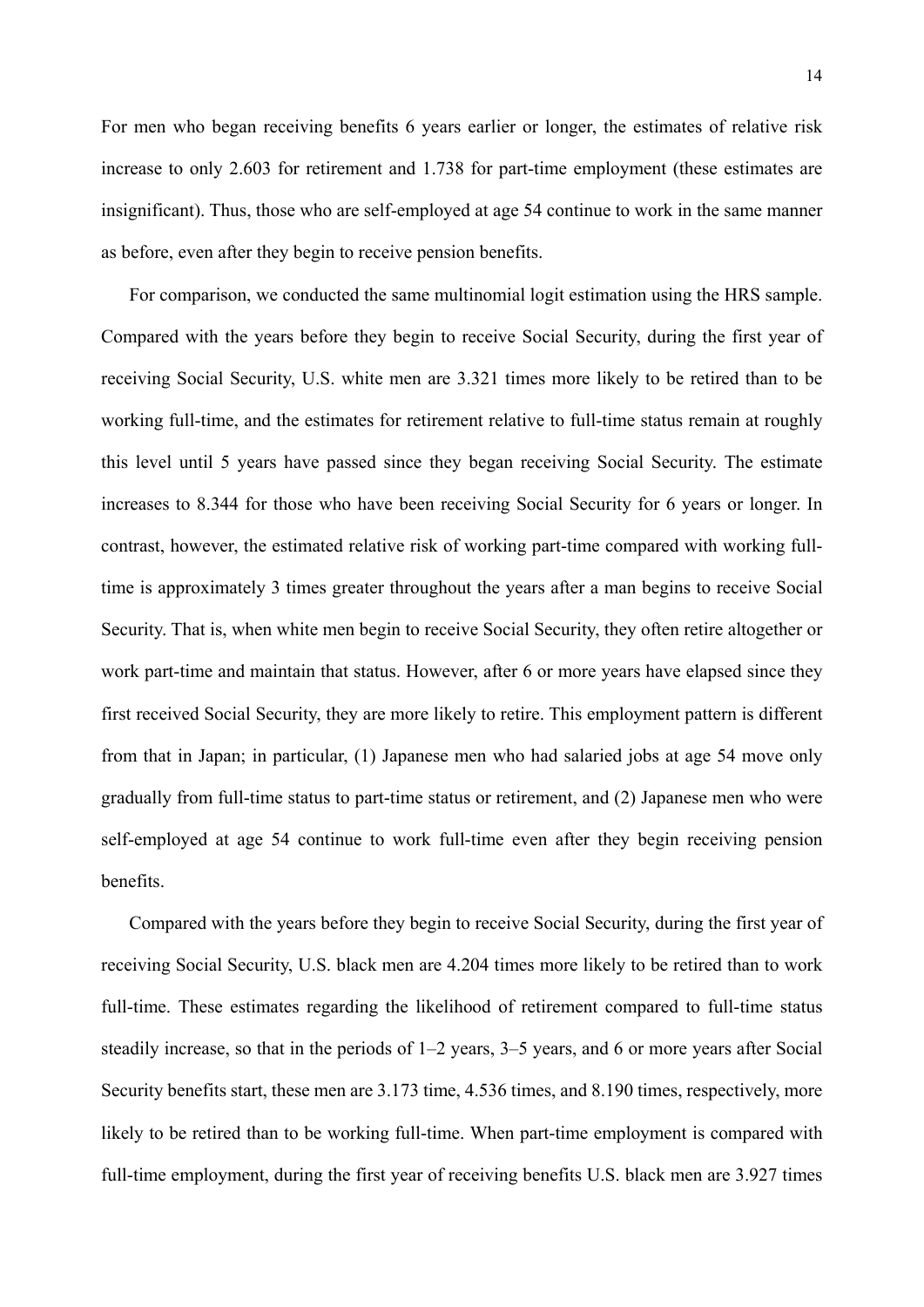For men who began receiving benefits 6 years earlier or longer, the estimates of relative risk increase to only 2.603 for retirement and 1.738 for part-time employment (these estimates are insignificant). Thus, those who are self-employed at age 54 continue to work in the same manner as before, even after they begin to receive pension benefits.

For comparison, we conducted the same multinomial logit estimation using the HRS sample. Compared with the years before they begin to receive Social Security, during the first year of receiving Social Security, U.S. white men are 3.321 times more likely to be retired than to be working full-time, and the estimates for retirement relative to full-time status remain at roughly this level until 5 years have passed since they began receiving Social Security. The estimate increases to 8.344 for those who have been receiving Social Security for 6 years or longer. In contrast, however, the estimated relative risk of working part-time compared with working fulltime is approximately 3 times greater throughout the years after a man begins to receive Social Security. That is, when white men begin to receive Social Security, they often retire altogether or work part-time and maintain that status. However, after 6 or more years have elapsed since they first received Social Security, they are more likely to retire. This employment pattern is different from that in Japan; in particular, (1) Japanese men who had salaried jobs at age 54 move only gradually from full-time status to part-time status or retirement, and (2) Japanese men who were self-employed at age 54 continue to work full-time even after they begin receiving pension benefits.

Compared with the years before they begin to receive Social Security, during the first year of receiving Social Security, U.S. black men are 4.204 times more likely to be retired than to work full-time. These estimates regarding the likelihood of retirement compared to full-time status steadily increase, so that in the periods of 1–2 years, 3–5 years, and 6 or more years after Social Security benefits start, these men are 3.173 time, 4.536 times, and 8.190 times, respectively, more likely to be retired than to be working full-time. When part-time employment is compared with full-time employment, during the first year of receiving benefits U.S. black men are 3.927 times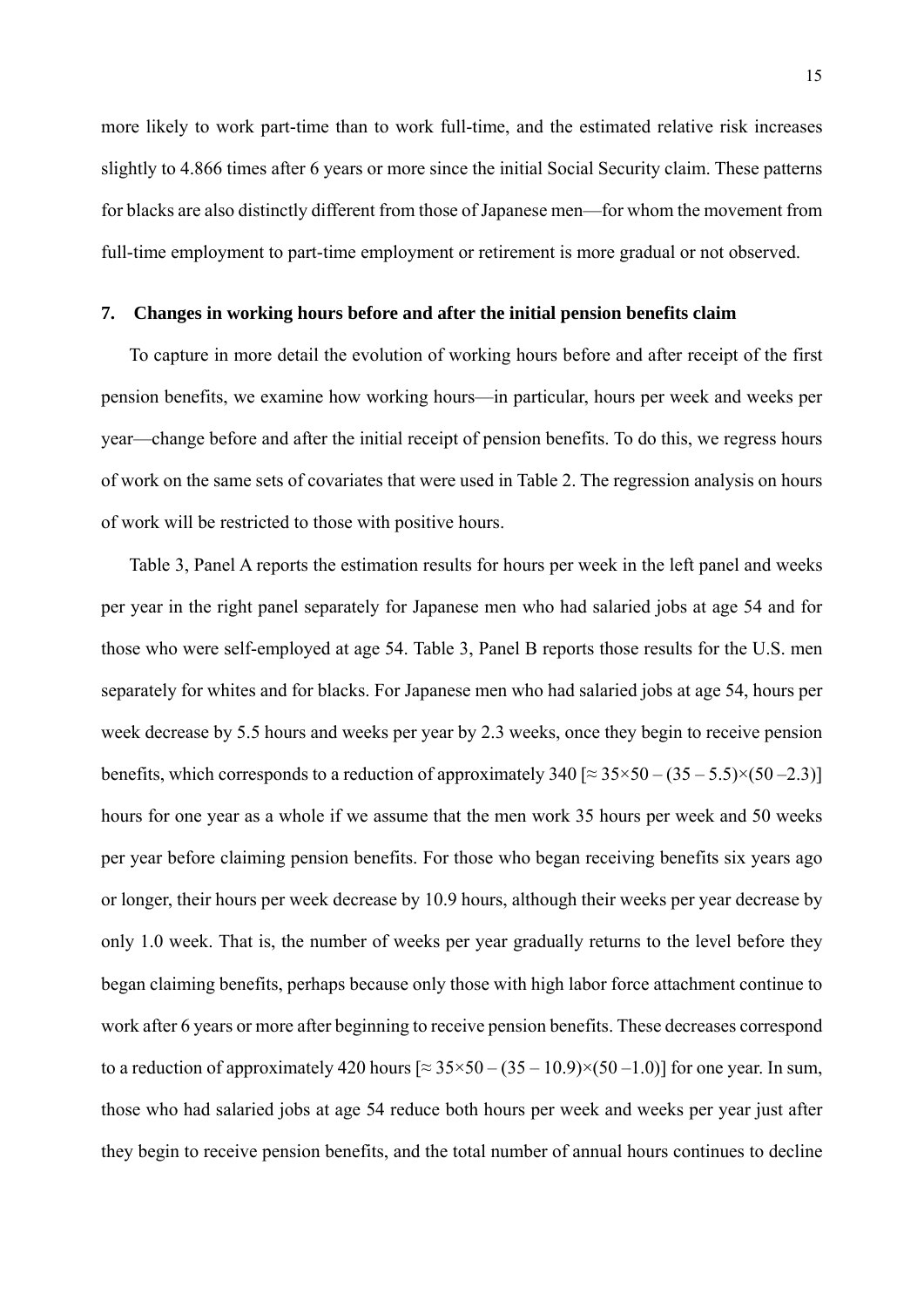more likely to work part-time than to work full-time, and the estimated relative risk increases slightly to 4.866 times after 6 years or more since the initial Social Security claim. These patterns for blacks are also distinctly different from those of Japanese men—for whom the movement from full-time employment to part-time employment or retirement is more gradual or not observed.

#### **7. Changes in working hours before and after the initial pension benefits claim**

To capture in more detail the evolution of working hours before and after receipt of the first pension benefits, we examine how working hours—in particular, hours per week and weeks per year—change before and after the initial receipt of pension benefits. To do this, we regress hours of work on the same sets of covariates that were used in Table 2. The regression analysis on hours of work will be restricted to those with positive hours.

Table 3, Panel A reports the estimation results for hours per week in the left panel and weeks per year in the right panel separately for Japanese men who had salaried jobs at age 54 and for those who were self-employed at age 54. Table 3, Panel B reports those results for the U.S. men separately for whites and for blacks. For Japanese men who had salaried jobs at age 54, hours per week decrease by 5.5 hours and weeks per year by 2.3 weeks, once they begin to receive pension benefits, which corresponds to a reduction of approximately  $340 \approx 35 \times 50 - (35 - 5.5) \times (50 - 2.3)$ hours for one year as a whole if we assume that the men work 35 hours per week and 50 weeks per year before claiming pension benefits. For those who began receiving benefits six years ago or longer, their hours per week decrease by 10.9 hours, although their weeks per year decrease by only 1.0 week. That is, the number of weeks per year gradually returns to the level before they began claiming benefits, perhaps because only those with high labor force attachment continue to work after 6 years or more after beginning to receive pension benefits. These decreases correspond to a reduction of approximately 420 hours  $\approx 35 \times 50 - (35 - 10.9) \times (50 - 1.0)$  for one year. In sum, those who had salaried jobs at age 54 reduce both hours per week and weeks per year just after they begin to receive pension benefits, and the total number of annual hours continues to decline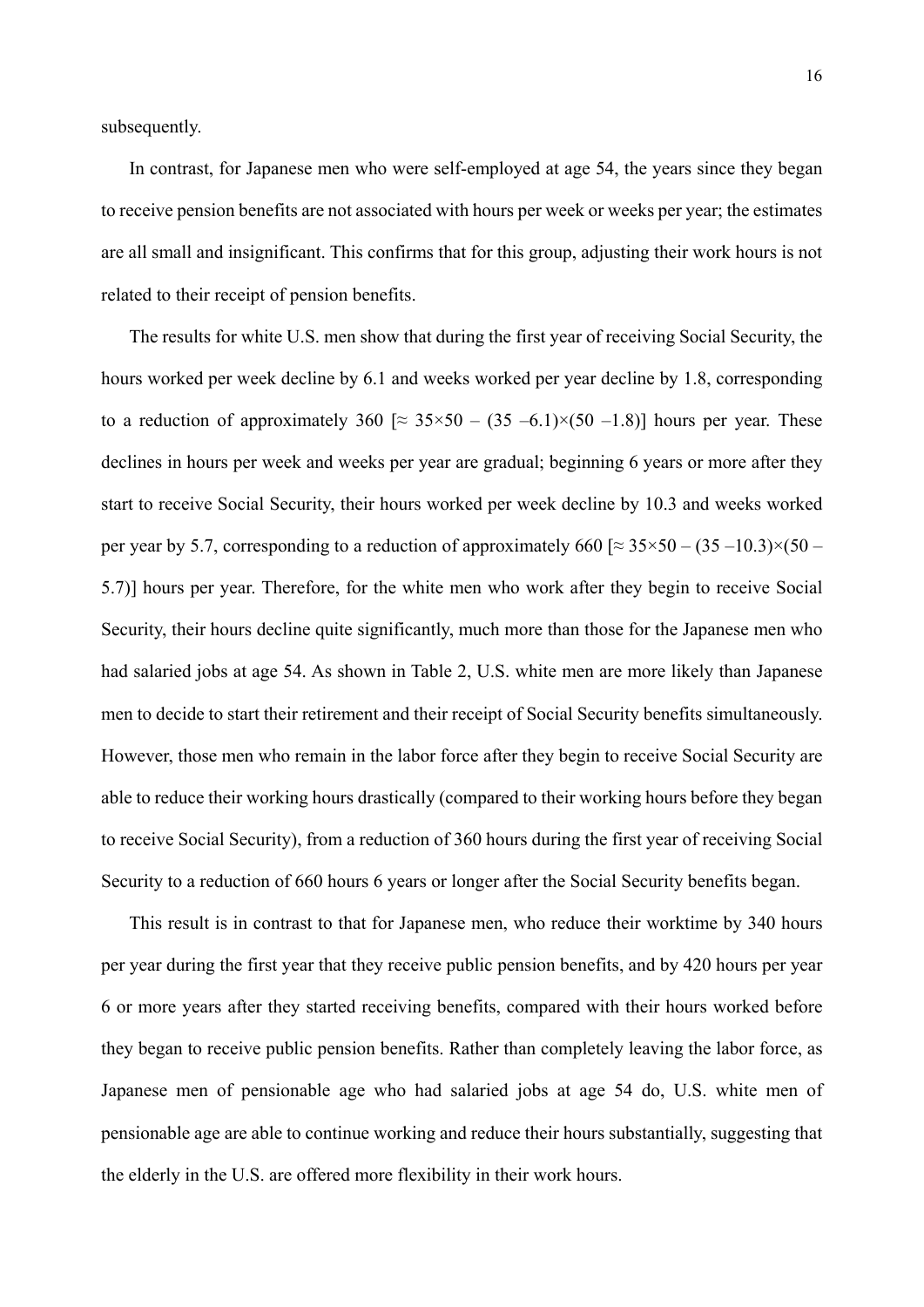subsequently.

In contrast, for Japanese men who were self-employed at age 54, the years since they began to receive pension benefits are not associated with hours per week or weeks per year; the estimates are all small and insignificant. This confirms that for this group, adjusting their work hours is not related to their receipt of pension benefits.

The results for white U.S. men show that during the first year of receiving Social Security, the hours worked per week decline by 6.1 and weeks worked per year decline by 1.8, corresponding to a reduction of approximately 360  $\approx 35 \times 50 - (35 - 6.1) \times (50 - 1.8)$  hours per year. These declines in hours per week and weeks per year are gradual; beginning 6 years or more after they start to receive Social Security, their hours worked per week decline by 10.3 and weeks worked per year by 5.7, corresponding to a reduction of approximately 660 [ $\approx 35 \times 50 - (35 - 10.3) \times (50 -$ 5.7)] hours per year. Therefore, for the white men who work after they begin to receive Social Security, their hours decline quite significantly, much more than those for the Japanese men who had salaried jobs at age 54. As shown in Table 2, U.S. white men are more likely than Japanese men to decide to start their retirement and their receipt of Social Security benefits simultaneously. However, those men who remain in the labor force after they begin to receive Social Security are able to reduce their working hours drastically (compared to their working hours before they began to receive Social Security), from a reduction of 360 hours during the first year of receiving Social Security to a reduction of 660 hours 6 years or longer after the Social Security benefits began.

This result is in contrast to that for Japanese men, who reduce their worktime by 340 hours per year during the first year that they receive public pension benefits, and by 420 hours per year 6 or more years after they started receiving benefits, compared with their hours worked before they began to receive public pension benefits. Rather than completely leaving the labor force, as Japanese men of pensionable age who had salaried jobs at age 54 do, U.S. white men of pensionable age are able to continue working and reduce their hours substantially, suggesting that the elderly in the U.S. are offered more flexibility in their work hours.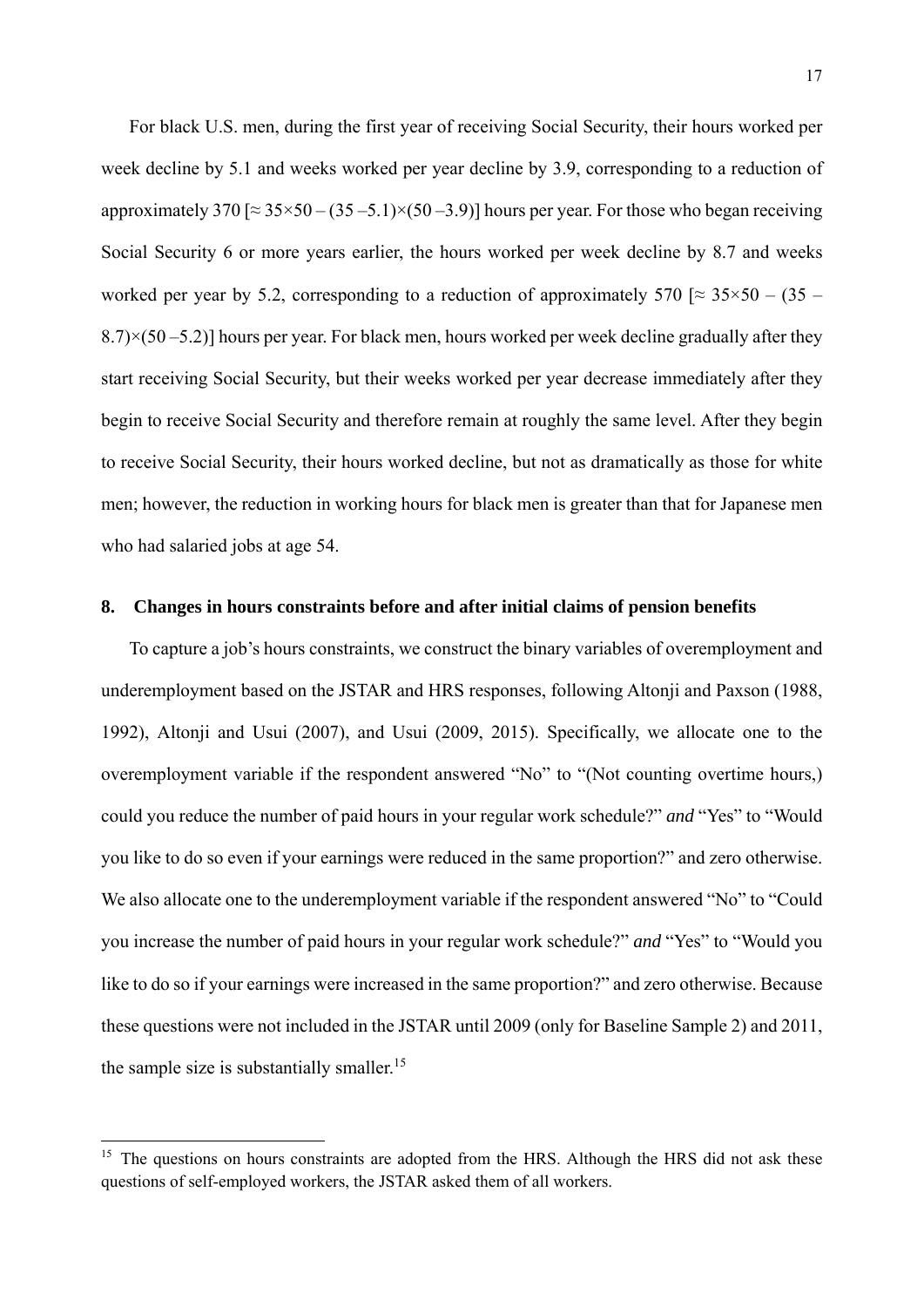For black U.S. men, during the first year of receiving Social Security, their hours worked per week decline by 5.1 and weeks worked per year decline by 3.9, corresponding to a reduction of approximately 370 [ $\approx$  35×50 – (35 – 5.1)×(50 – 3.9)] hours per year. For those who began receiving Social Security 6 or more years earlier, the hours worked per week decline by 8.7 and weeks worked per year by 5.2, corresponding to a reduction of approximately 570  $\approx 35 \times 50 - (35 8.7$  $\times$ (50 –5.2)] hours per year. For black men, hours worked per week decline gradually after they start receiving Social Security, but their weeks worked per year decrease immediately after they begin to receive Social Security and therefore remain at roughly the same level. After they begin to receive Social Security, their hours worked decline, but not as dramatically as those for white men; however, the reduction in working hours for black men is greater than that for Japanese men who had salaried jobs at age 54.

#### **8. Changes in hours constraints before and after initial claims of pension benefits**

To capture a job's hours constraints, we construct the binary variables of overemployment and underemployment based on the JSTAR and HRS responses, following Altonji and Paxson (1988, 1992), Altonji and Usui (2007), and Usui (2009, 2015). Specifically, we allocate one to the overemployment variable if the respondent answered "No" to "(Not counting overtime hours,) could you reduce the number of paid hours in your regular work schedule?" *and* "Yes" to "Would you like to do so even if your earnings were reduced in the same proportion?" and zero otherwise. We also allocate one to the underemployment variable if the respondent answered "No" to "Could you increase the number of paid hours in your regular work schedule?" *and* "Yes" to "Would you like to do so if your earnings were increased in the same proportion?" and zero otherwise. Because these questions were not included in the JSTAR until 2009 (only for Baseline Sample 2) and 2011, the sample size is substantially smaller.<sup>15</sup>

1

<sup>&</sup>lt;sup>15</sup> The questions on hours constraints are adopted from the HRS. Although the HRS did not ask these questions of self-employed workers, the JSTAR asked them of all workers.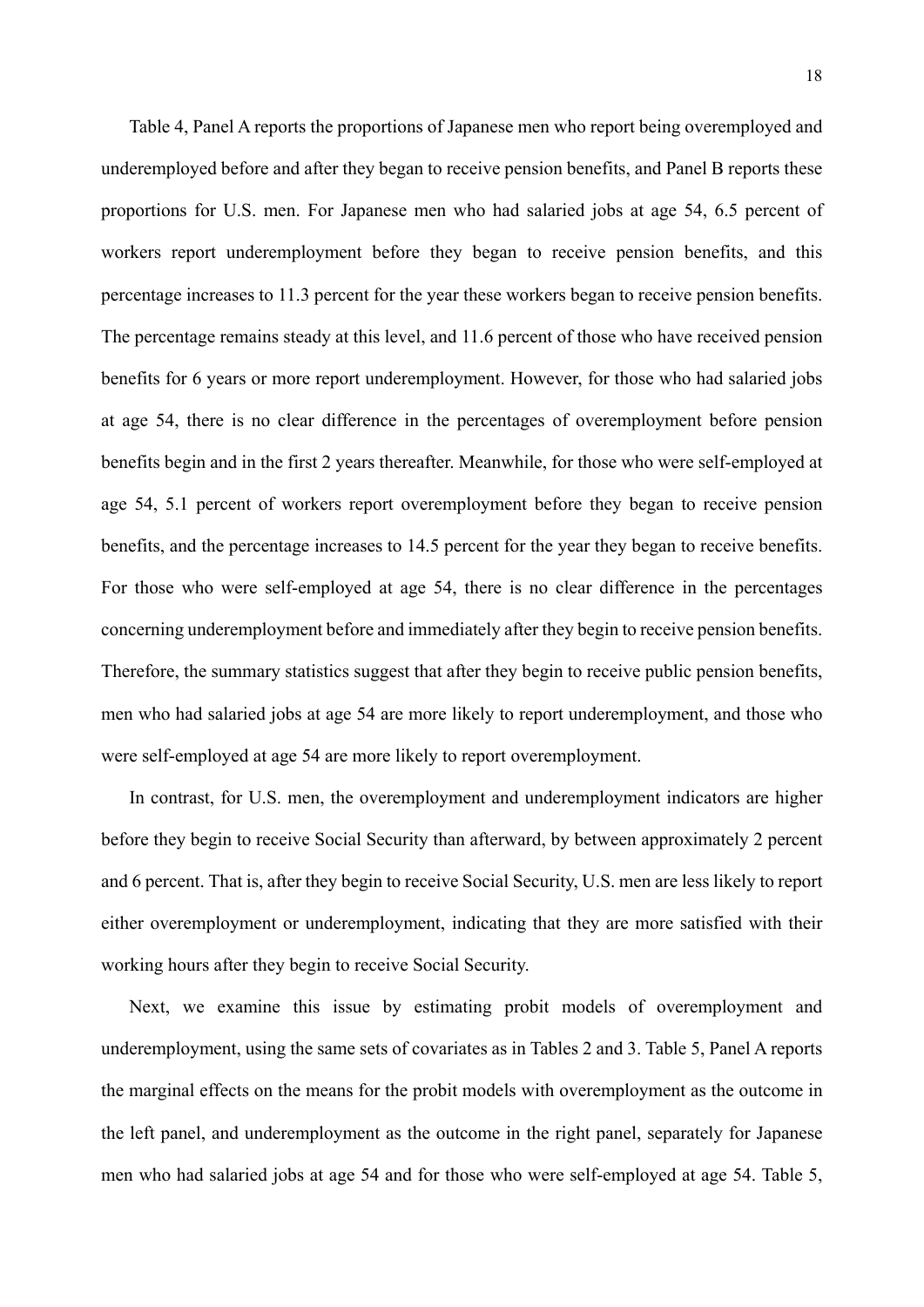Table 4, Panel A reports the proportions of Japanese men who report being overemployed and underemployed before and after they began to receive pension benefits, and Panel B reports these proportions for U.S. men. For Japanese men who had salaried jobs at age 54, 6.5 percent of workers report underemployment before they began to receive pension benefits, and this percentage increases to 11.3 percent for the year these workers began to receive pension benefits. The percentage remains steady at this level, and 11.6 percent of those who have received pension benefits for 6 years or more report underemployment. However, for those who had salaried jobs at age 54, there is no clear difference in the percentages of overemployment before pension benefits begin and in the first 2 years thereafter. Meanwhile, for those who were self-employed at age 54, 5.1 percent of workers report overemployment before they began to receive pension benefits, and the percentage increases to 14.5 percent for the year they began to receive benefits. For those who were self-employed at age 54, there is no clear difference in the percentages concerning underemployment before and immediately after they begin to receive pension benefits. Therefore, the summary statistics suggest that after they begin to receive public pension benefits, men who had salaried jobs at age 54 are more likely to report underemployment, and those who were self-employed at age 54 are more likely to report overemployment.

In contrast, for U.S. men, the overemployment and underemployment indicators are higher before they begin to receive Social Security than afterward, by between approximately 2 percent and 6 percent. That is, after they begin to receive Social Security, U.S. men are less likely to report either overemployment or underemployment, indicating that they are more satisfied with their working hours after they begin to receive Social Security.

Next, we examine this issue by estimating probit models of overemployment and underemployment, using the same sets of covariates as in Tables 2 and 3. Table 5, Panel A reports the marginal effects on the means for the probit models with overemployment as the outcome in the left panel, and underemployment as the outcome in the right panel, separately for Japanese men who had salaried jobs at age 54 and for those who were self-employed at age 54. Table 5,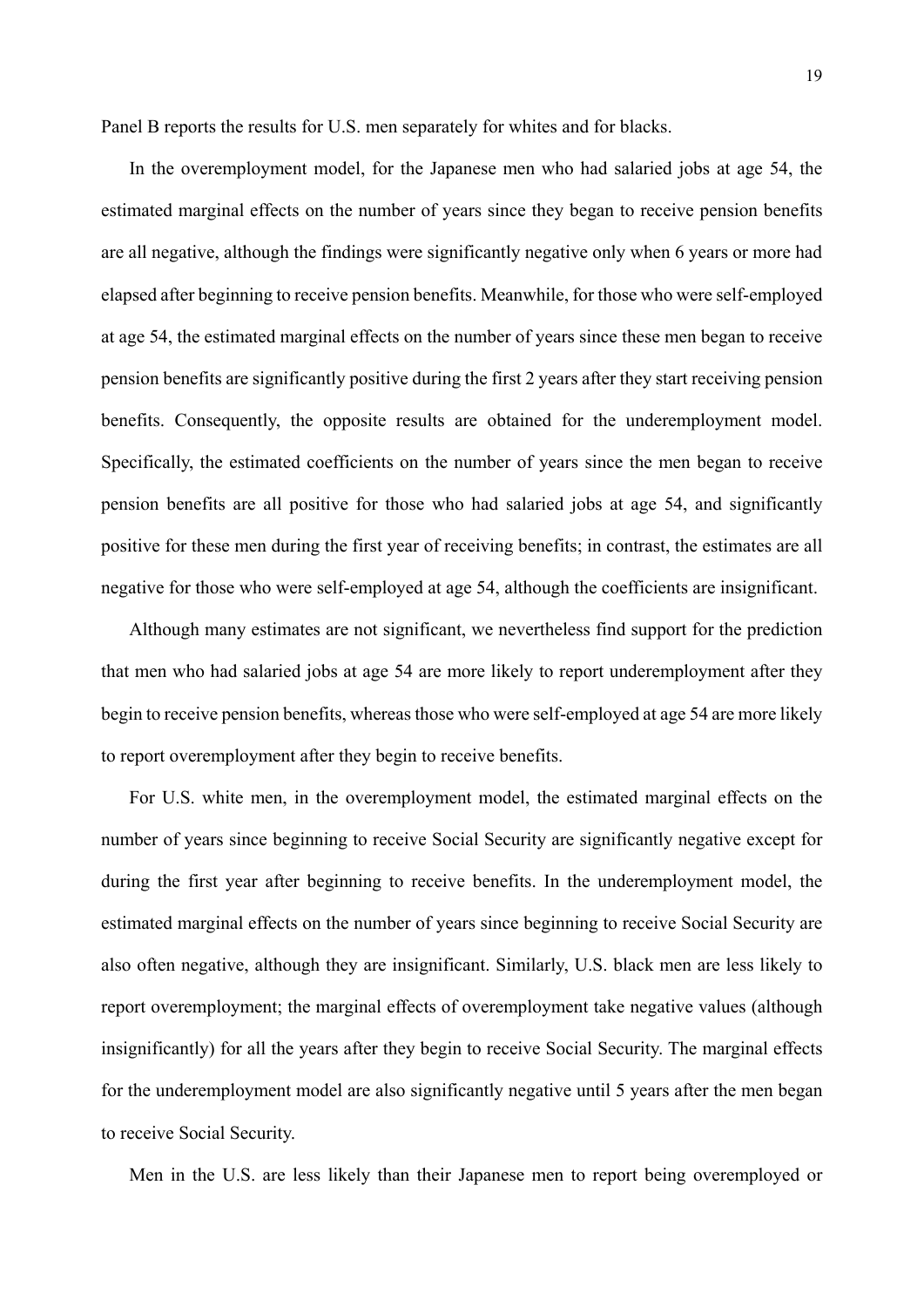Panel B reports the results for U.S. men separately for whites and for blacks.

In the overemployment model, for the Japanese men who had salaried jobs at age 54, the estimated marginal effects on the number of years since they began to receive pension benefits are all negative, although the findings were significantly negative only when 6 years or more had elapsed after beginning to receive pension benefits. Meanwhile, for those who were self-employed at age 54, the estimated marginal effects on the number of years since these men began to receive pension benefits are significantly positive during the first 2 years after they start receiving pension benefits. Consequently, the opposite results are obtained for the underemployment model. Specifically, the estimated coefficients on the number of years since the men began to receive pension benefits are all positive for those who had salaried jobs at age 54, and significantly positive for these men during the first year of receiving benefits; in contrast, the estimates are all negative for those who were self-employed at age 54, although the coefficients are insignificant.

Although many estimates are not significant, we nevertheless find support for the prediction that men who had salaried jobs at age 54 are more likely to report underemployment after they begin to receive pension benefits, whereas those who were self-employed at age 54 are more likely to report overemployment after they begin to receive benefits.

For U.S. white men, in the overemployment model, the estimated marginal effects on the number of years since beginning to receive Social Security are significantly negative except for during the first year after beginning to receive benefits. In the underemployment model, the estimated marginal effects on the number of years since beginning to receive Social Security are also often negative, although they are insignificant. Similarly, U.S. black men are less likely to report overemployment; the marginal effects of overemployment take negative values (although insignificantly) for all the years after they begin to receive Social Security. The marginal effects for the underemployment model are also significantly negative until 5 years after the men began to receive Social Security.

Men in the U.S. are less likely than their Japanese men to report being overemployed or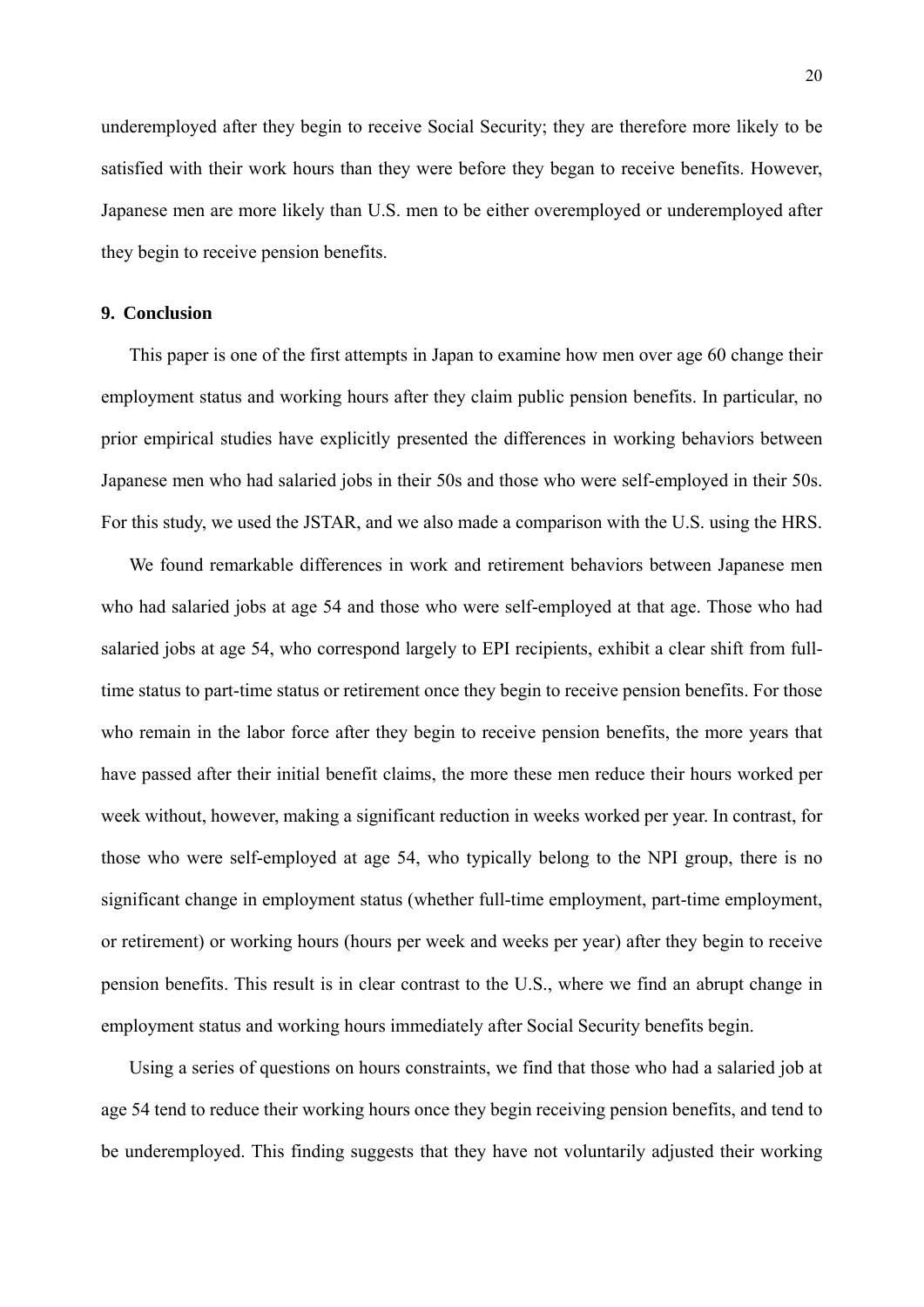underemployed after they begin to receive Social Security; they are therefore more likely to be satisfied with their work hours than they were before they began to receive benefits. However, Japanese men are more likely than U.S. men to be either overemployed or underemployed after they begin to receive pension benefits.

#### **9. Conclusion**

This paper is one of the first attempts in Japan to examine how men over age 60 change their employment status and working hours after they claim public pension benefits. In particular, no prior empirical studies have explicitly presented the differences in working behaviors between Japanese men who had salaried jobs in their 50s and those who were self-employed in their 50s. For this study, we used the JSTAR, and we also made a comparison with the U.S. using the HRS.

We found remarkable differences in work and retirement behaviors between Japanese men who had salaried jobs at age 54 and those who were self-employed at that age. Those who had salaried jobs at age 54, who correspond largely to EPI recipients, exhibit a clear shift from fulltime status to part-time status or retirement once they begin to receive pension benefits. For those who remain in the labor force after they begin to receive pension benefits, the more years that have passed after their initial benefit claims, the more these men reduce their hours worked per week without, however, making a significant reduction in weeks worked per year. In contrast, for those who were self-employed at age 54, who typically belong to the NPI group, there is no significant change in employment status (whether full-time employment, part-time employment, or retirement) or working hours (hours per week and weeks per year) after they begin to receive pension benefits. This result is in clear contrast to the U.S., where we find an abrupt change in employment status and working hours immediately after Social Security benefits begin.

Using a series of questions on hours constraints, we find that those who had a salaried job at age 54 tend to reduce their working hours once they begin receiving pension benefits, and tend to be underemployed. This finding suggests that they have not voluntarily adjusted their working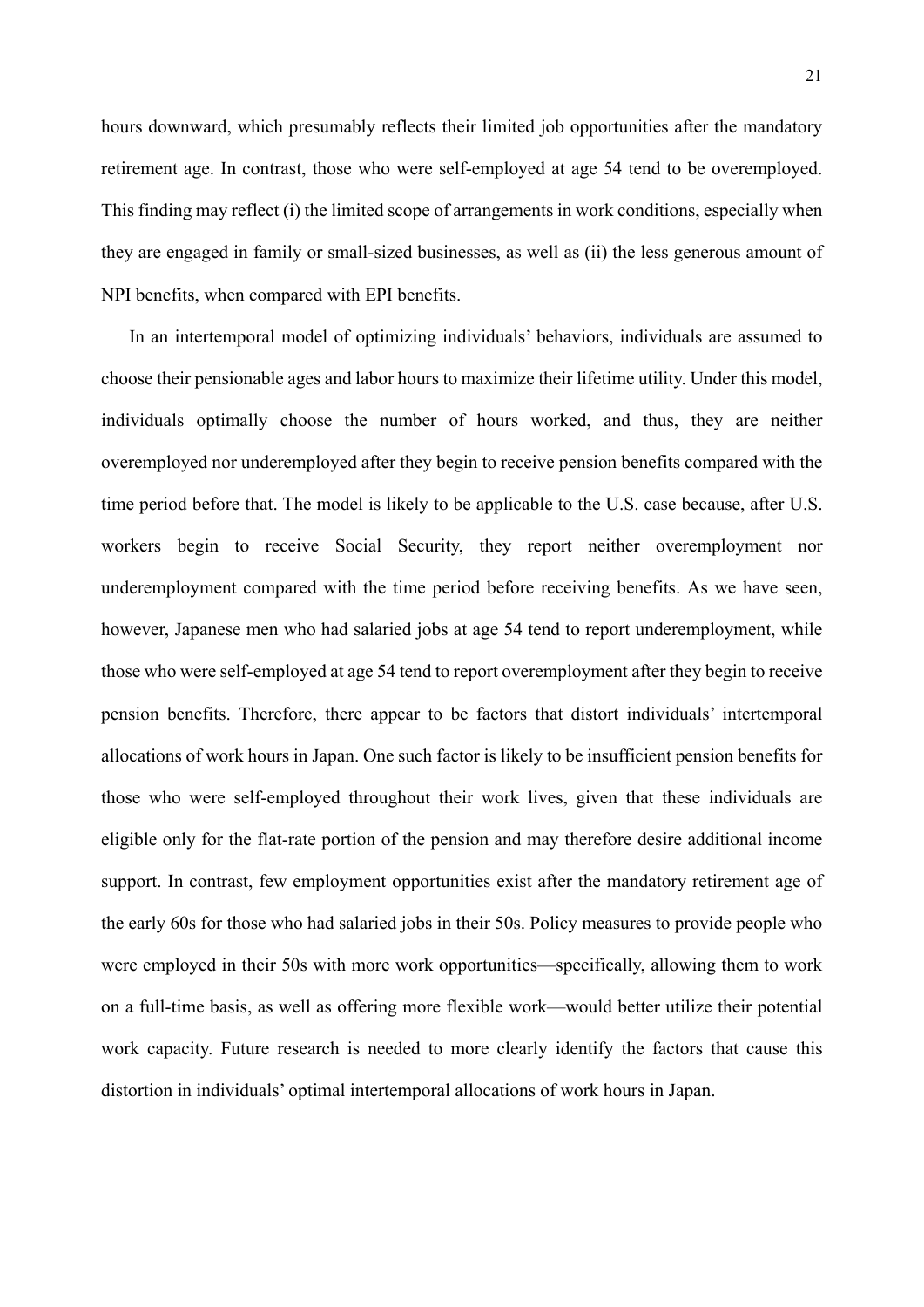hours downward, which presumably reflects their limited job opportunities after the mandatory retirement age. In contrast, those who were self-employed at age 54 tend to be overemployed. This finding may reflect (i) the limited scope of arrangements in work conditions, especially when they are engaged in family or small-sized businesses, as well as (ii) the less generous amount of NPI benefits, when compared with EPI benefits.

In an intertemporal model of optimizing individuals' behaviors, individuals are assumed to choose their pensionable ages and labor hours to maximize their lifetime utility. Under this model, individuals optimally choose the number of hours worked, and thus, they are neither overemployed nor underemployed after they begin to receive pension benefits compared with the time period before that. The model is likely to be applicable to the U.S. case because, after U.S. workers begin to receive Social Security, they report neither overemployment nor underemployment compared with the time period before receiving benefits. As we have seen, however, Japanese men who had salaried jobs at age 54 tend to report underemployment, while those who were self-employed at age 54 tend to report overemployment after they begin to receive pension benefits. Therefore, there appear to be factors that distort individuals' intertemporal allocations of work hours in Japan. One such factor is likely to be insufficient pension benefits for those who were self-employed throughout their work lives, given that these individuals are eligible only for the flat-rate portion of the pension and may therefore desire additional income support. In contrast, few employment opportunities exist after the mandatory retirement age of the early 60s for those who had salaried jobs in their 50s. Policy measures to provide people who were employed in their 50s with more work opportunities—specifically, allowing them to work on a full-time basis, as well as offering more flexible work—would better utilize their potential work capacity. Future research is needed to more clearly identify the factors that cause this distortion in individuals' optimal intertemporal allocations of work hours in Japan.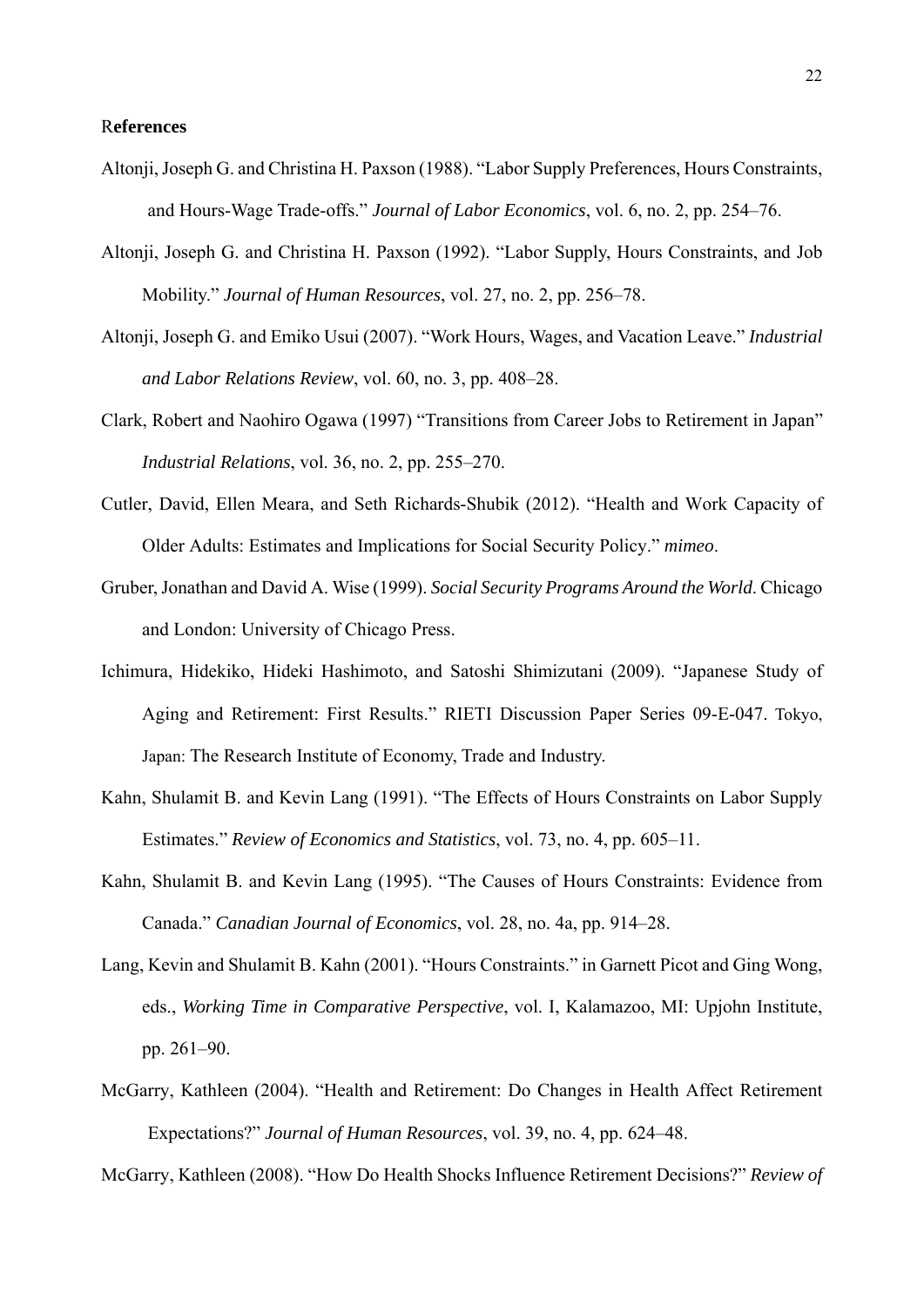#### R**eferences**

- Altonji, Joseph G. and Christina H. Paxson (1988). "Labor Supply Preferences, Hours Constraints, and Hours-Wage Trade-offs." *Journal of Labor Economics*, vol. 6, no. 2, pp. 254–76.
- Altonji, Joseph G. and Christina H. Paxson (1992). "Labor Supply, Hours Constraints, and Job Mobility." *Journal of Human Resources*, vol. 27, no. 2, pp. 256–78.
- Altonji, Joseph G. and Emiko Usui (2007). "Work Hours, Wages, and Vacation Leave." *Industrial and Labor Relations Review*, vol. 60, no. 3, pp. 408–28.
- Clark, Robert and Naohiro Ogawa (1997) "Transitions from Career Jobs to Retirement in Japan" *Industrial Relations*, vol. 36, no. 2, pp. 255–270.
- Cutler, David, Ellen Meara, and Seth Richards-Shubik (2012). "Health and Work Capacity of Older Adults: Estimates and Implications for Social Security Policy." *mimeo*.
- Gruber, Jonathan and David A. Wise (1999). *Social Security Programs Around the World*. Chicago and London: University of Chicago Press.
- Ichimura, Hidekiko, Hideki Hashimoto, and Satoshi Shimizutani (2009). "Japanese Study of Aging and Retirement: First Results." RIETI Discussion Paper Series 09-E-047. Tokyo, Japan: The Research Institute of Economy, Trade and Industry.
- Kahn, Shulamit B. and Kevin Lang (1991). "The Effects of Hours Constraints on Labor Supply Estimates." *Review of Economics and Statistics*, vol. 73, no. 4, pp. 605–11.
- Kahn, Shulamit B. and Kevin Lang (1995). "The Causes of Hours Constraints: Evidence from Canada." *Canadian Journal of Economics*, vol. 28, no. 4a, pp. 914–28.
- Lang, Kevin and Shulamit B. Kahn (2001). "Hours Constraints." in Garnett Picot and Ging Wong, eds., *Working Time in Comparative Perspective*, vol. I, Kalamazoo, MI: Upjohn Institute, pp. 261–90.
- McGarry, Kathleen (2004). "Health and Retirement: Do Changes in Health Affect Retirement Expectations?" *Journal of Human Resources*, vol. 39, no. 4, pp. 624–48.

McGarry, Kathleen (2008). "How Do Health Shocks Influence Retirement Decisions?" *Review of*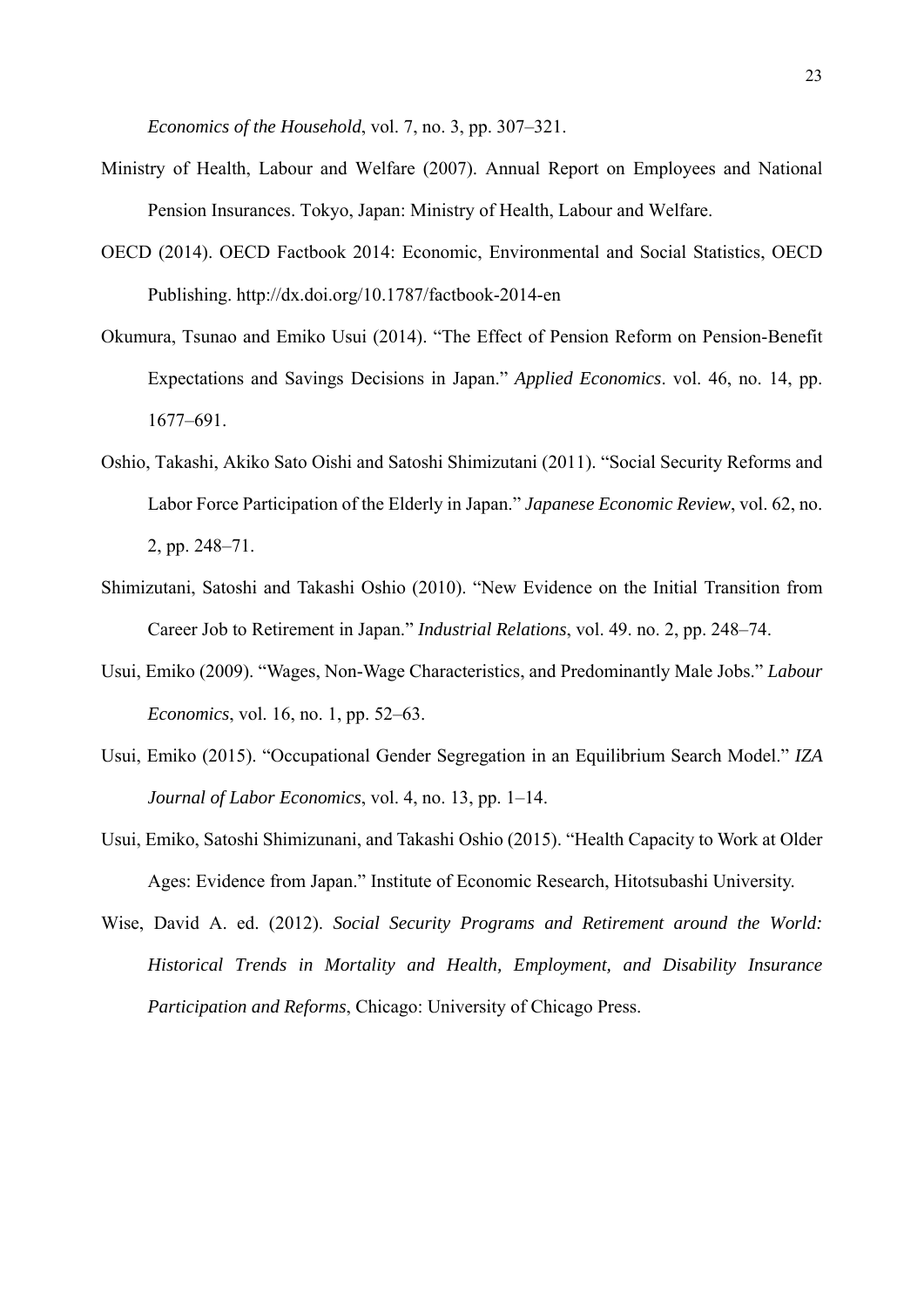*Economics of the Household*, vol. 7, no. 3, pp. 307–321.

- Ministry of Health, Labour and Welfare (2007). Annual Report on Employees and National Pension Insurances. Tokyo, Japan: Ministry of Health, Labour and Welfare.
- OECD (2014). OECD Factbook 2014: Economic, Environmental and Social Statistics, OECD Publishing. http://dx.doi.org/10.1787/factbook-2014-en
- Okumura, Tsunao and Emiko Usui (2014). "The Effect of Pension Reform on Pension-Benefit Expectations and Savings Decisions in Japan." *Applied Economics*. vol. 46, no. 14, pp. 1677–691.
- Oshio, Takashi, Akiko Sato Oishi and Satoshi Shimizutani (2011). "Social Security Reforms and Labor Force Participation of the Elderly in Japan." *Japanese Economic Review*, vol. 62, no. 2, pp. 248–71.
- Shimizutani, Satoshi and Takashi Oshio (2010). "New Evidence on the Initial Transition from Career Job to Retirement in Japan." *Industrial Relations*, vol. 49. no. 2, pp. 248–74.
- Usui, Emiko (2009). "Wages, Non-Wage Characteristics, and Predominantly Male Jobs." *Labour Economics*, vol. 16, no. 1, pp. 52–63.
- Usui, Emiko (2015). "Occupational Gender Segregation in an Equilibrium Search Model." *IZA Journal of Labor Economics*, vol. 4, no. 13, pp. 1–14.
- Usui, Emiko, Satoshi Shimizunani, and Takashi Oshio (2015). "Health Capacity to Work at Older Ages: Evidence from Japan." Institute of Economic Research, Hitotsubashi University.
- Wise, David A. ed. (2012). *Social Security Programs and Retirement around the World: Historical Trends in Mortality and Health, Employment, and Disability Insurance Participation and Reforms*, Chicago: University of Chicago Press.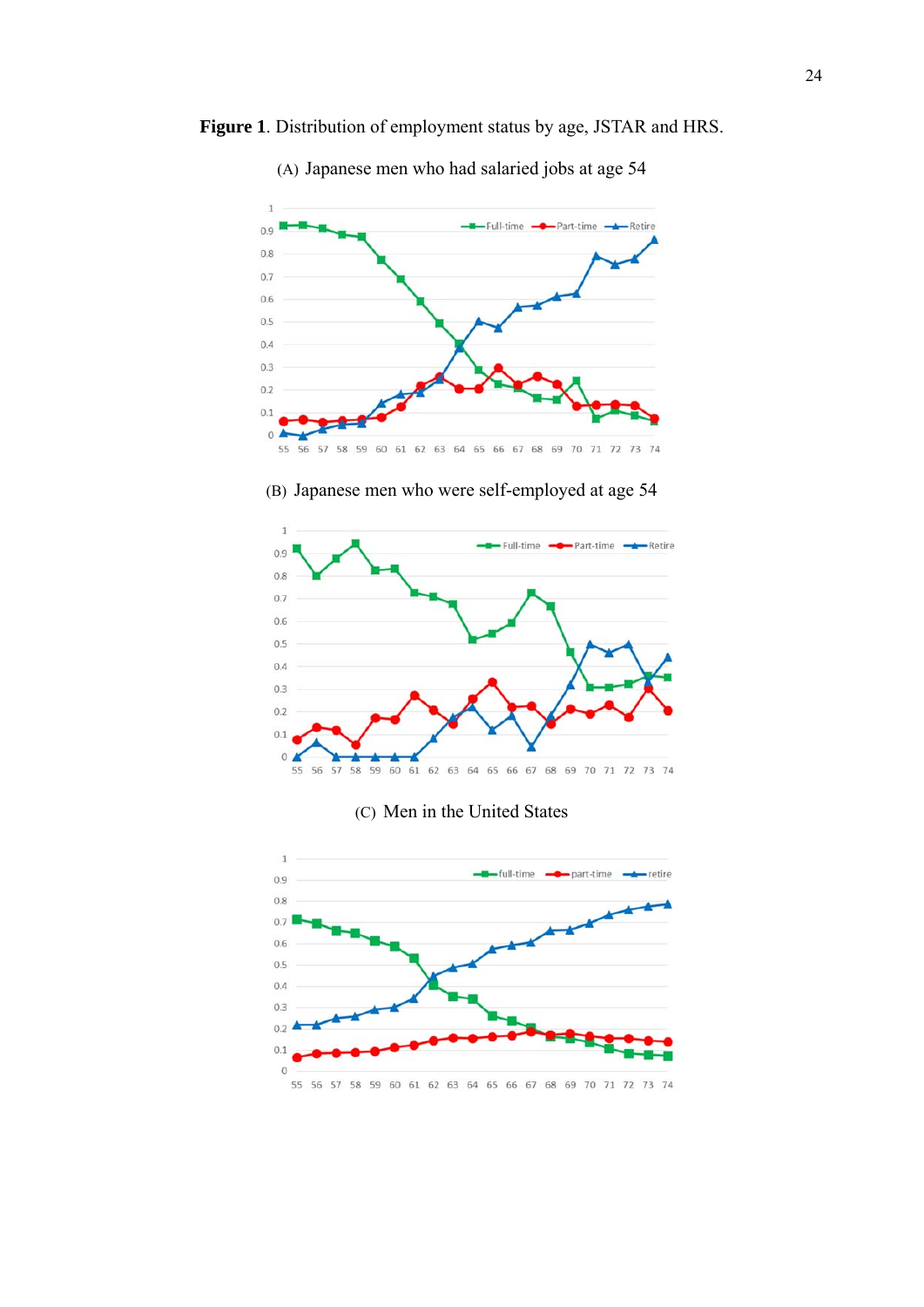



(A) Japanese men who had salaried jobs at age 54

(B) Japanese men who were self-employed at age 54



#### (C) Men in the United States

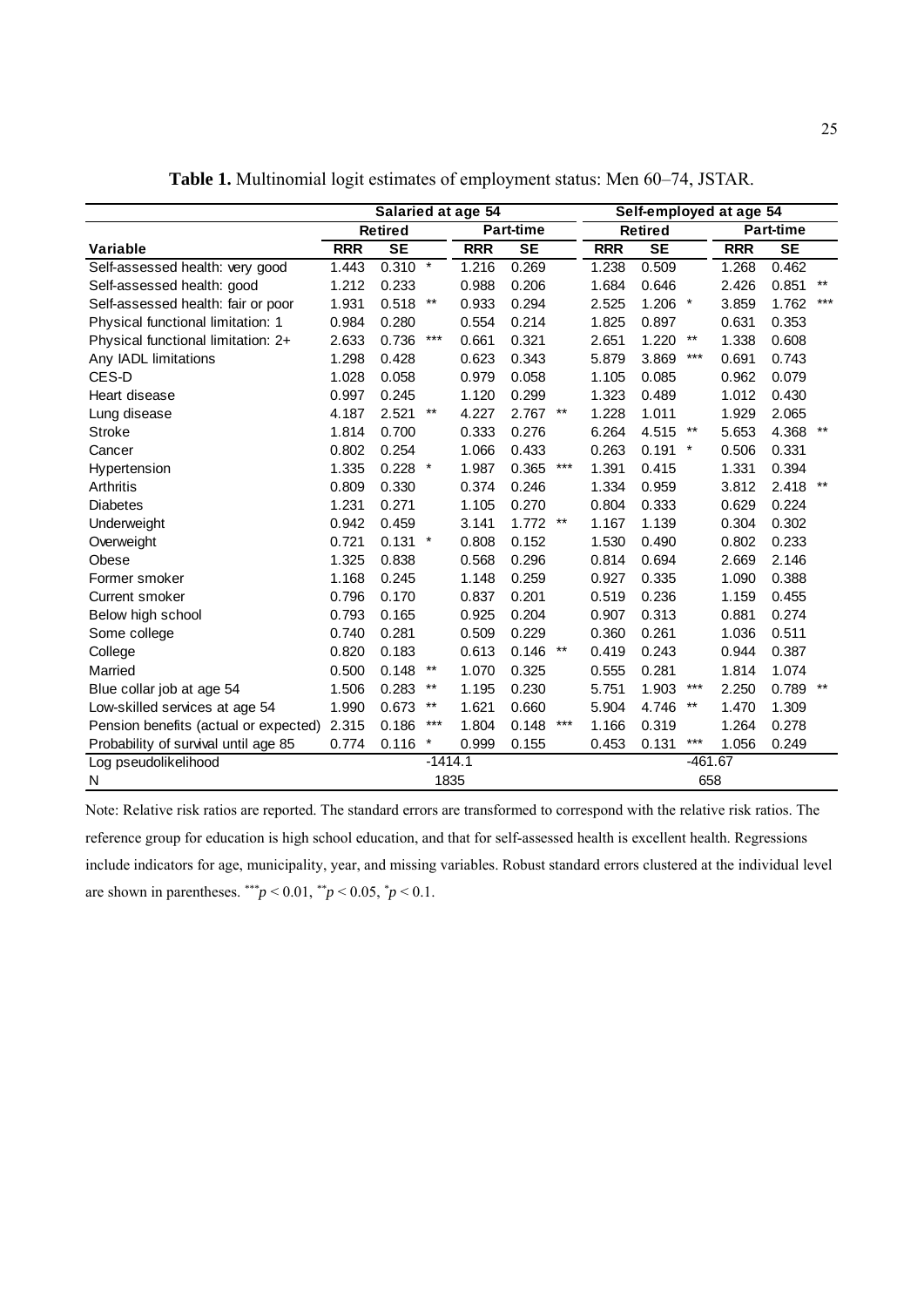|                                       |                              |                | Salaried at age 54 |            | Self-employed at age 54 |       |            |                                           |         |            |           |       |
|---------------------------------------|------------------------------|----------------|--------------------|------------|-------------------------|-------|------------|-------------------------------------------|---------|------------|-----------|-------|
|                                       |                              | <b>Retired</b> |                    |            | <b>Part-time</b>        |       |            | <b>Retired</b>                            |         |            | Part-time |       |
| <b>Variable</b>                       | <b>RRR</b>                   | <b>SE</b>      |                    | <b>RRR</b> | <b>SE</b>               |       | <b>RRR</b> | <b>SE</b>                                 |         | <b>RRR</b> | <b>SE</b> |       |
| Self-assessed health: very good       | 1.443                        | 0.310          | $\star$            | 1.216      | 0.269                   |       | 1.238      | 0.509                                     |         | 1.268      | 0.462     |       |
| Self-assessed health: good            | 1.212                        | 0.233          |                    | 0.988      | 0.206                   |       | 1.684      | 0.646                                     |         | 2.426      | 0.851     | $***$ |
| Self-assessed health: fair or poor    | 1.931                        | 0.518          | $***$              | 0.933      | 0.294                   |       | 2.525      | $1.206$ *                                 |         | 3.859      | 1.762     | $***$ |
| Physical functional limitation: 1     | 0.984                        | 0.280          |                    | 0.554      | 0.214                   |       | 1.825      | 0.897                                     |         | 0.631      | 0.353     |       |
| Physical functional limitation: 2+    | 2.633                        | 0.736          | $***$              | 0.661      | 0.321                   |       | 2.651      | 1.220                                     | $***$   | 1.338      | 0.608     |       |
| Any IADL limitations                  | 1.298                        | 0.428          |                    | 0.623      | 0.343                   |       | 5.879      | 3.869                                     | ***     | 0.691      | 0.743     |       |
| CES-D                                 | 1.028                        | 0.058          |                    | 0.979      | 0.058                   |       | 1.105      | 0.085                                     |         | 0.962      | 0.079     |       |
| Heart disease                         | 0.997                        | 0.245          |                    | 1.120      | 0.299                   |       | 1.323      | 0.489                                     |         | 1.012      | 0.430     |       |
| Lung disease                          | 4.187                        | 2.521          | $***$              | 4.227      | 2.767                   | $***$ | 1.228      | 1.011                                     |         | 1.929      | 2.065     |       |
| Stroke                                | 1.814                        | 0.700          |                    | 0.333      | 0.276                   |       | 6.264      | 4.515                                     | $***$   | 5.653      | 4.368     | $***$ |
| Cancer                                | 0.802                        | 0.254          |                    | 1.066      | 0.433                   |       | 0.263      | 0.191                                     | $\star$ | 0.506      | 0.331     |       |
| Hypertension                          | 1.335                        | $0.228$ *      |                    | 1.987      | 0.365                   | $***$ | 1.391      | 0.415                                     |         | 1.331      | 0.394     |       |
| Arthritis                             | 0.809                        | 0.330          |                    | 0.374      | 0.246                   |       | 1.334      | 0.959                                     |         | 3.812      | 2.418     | $***$ |
| <b>Diabetes</b>                       | 1.231                        | 0.271          |                    | 1.105      | 0.270                   |       | 0.804      | 0.333                                     |         | 0.629      | 0.224     |       |
| Underweight                           | 0.942                        | 0.459          |                    | 3.141      | 1.772                   | $***$ | 1.167      | 1.139                                     |         | 0.304      | 0.302     |       |
| Overweight                            | 0.721                        | $0.131$ *      |                    | 0.808      | 0.152                   |       | 1.530      | 0.490                                     |         | 0.802      | 0.233     |       |
| Obese                                 | 1.325                        | 0.838          |                    | 0.568      | 0.296                   |       | 0.814      | 0.694                                     |         | 2.669      | 2.146     |       |
| Former smoker                         | 1.168                        | 0.245          |                    | 1.148      | 0.259                   |       | 0.927      | 0.335                                     |         | 1.090      | 0.388     |       |
| Current smoker                        | 0.796                        | 0.170          |                    | 0.837      | 0.201                   |       | 0.519      | 0.236                                     |         | 1.159      | 0.455     |       |
| Below high school                     | 0.793                        | 0.165          |                    | 0.925      | 0.204                   |       | 0.907      | 0.313                                     |         | 0.881      | 0.274     |       |
| Some college                          | 0.740                        | 0.281          |                    | 0.509      | 0.229                   |       | 0.360      | 0.261                                     |         | 1.036      | 0.511     |       |
| College                               | 0.820                        | 0.183          |                    | 0.613      | 0.146                   | $***$ | 0.419      | 0.243                                     |         | 0.944      | 0.387     |       |
| Married                               | 0.500                        | 0.148          | $***$              | 1.070      | 0.325                   |       | 0.555      | 0.281                                     |         | 1.814      | 1.074     |       |
| Blue collar job at age 54             | 1.506                        | 0.283          | $***$              | 1.195      | 0.230                   |       | 5.751      | 1.903                                     | ***     | 2.250      | 0.789     | $***$ |
| Low-skilled services at age 54        | 1.990                        | 0.673          | $***$              | 1.621      | 0.660                   |       | 5.904      | 4.746                                     | $***$   | 1.470      | 1.309     |       |
| Pension benefits (actual or expected) | 2.315                        | 0.186          | $***$              | 1.804      | 0.148                   | ***   | 1.166      | 0.319                                     |         | 1.264      | 0.278     |       |
| Probability of survival until age 85  | $^{\star}$<br>0.774<br>0.116 |                |                    |            | 0.999<br>0.155          |       |            | $***$<br>0.453<br>0.131<br>1.056<br>0.249 |         |            |           |       |
| Log pseudolikelihood                  | $-1414.1$                    |                |                    |            |                         |       | $-461.67$  |                                           |         |            |           |       |
| N                                     |                              |                | 1835               |            |                         |       | 658        |                                           |         |            |           |       |

**Table 1.** Multinomial logit estimates of employment status: Men 60–74, JSTAR.

Note: Relative risk ratios are reported. The standard errors are transformed to correspond with the relative risk ratios. The reference group for education is high school education, and that for self-assessed health is excellent health. Regressions include indicators for age, municipality, year, and missing variables. Robust standard errors clustered at the individual level are shown in parentheses.  $^{**}p < 0.01$ ,  $^{**}p < 0.05$ ,  $^{*}p < 0.1$ .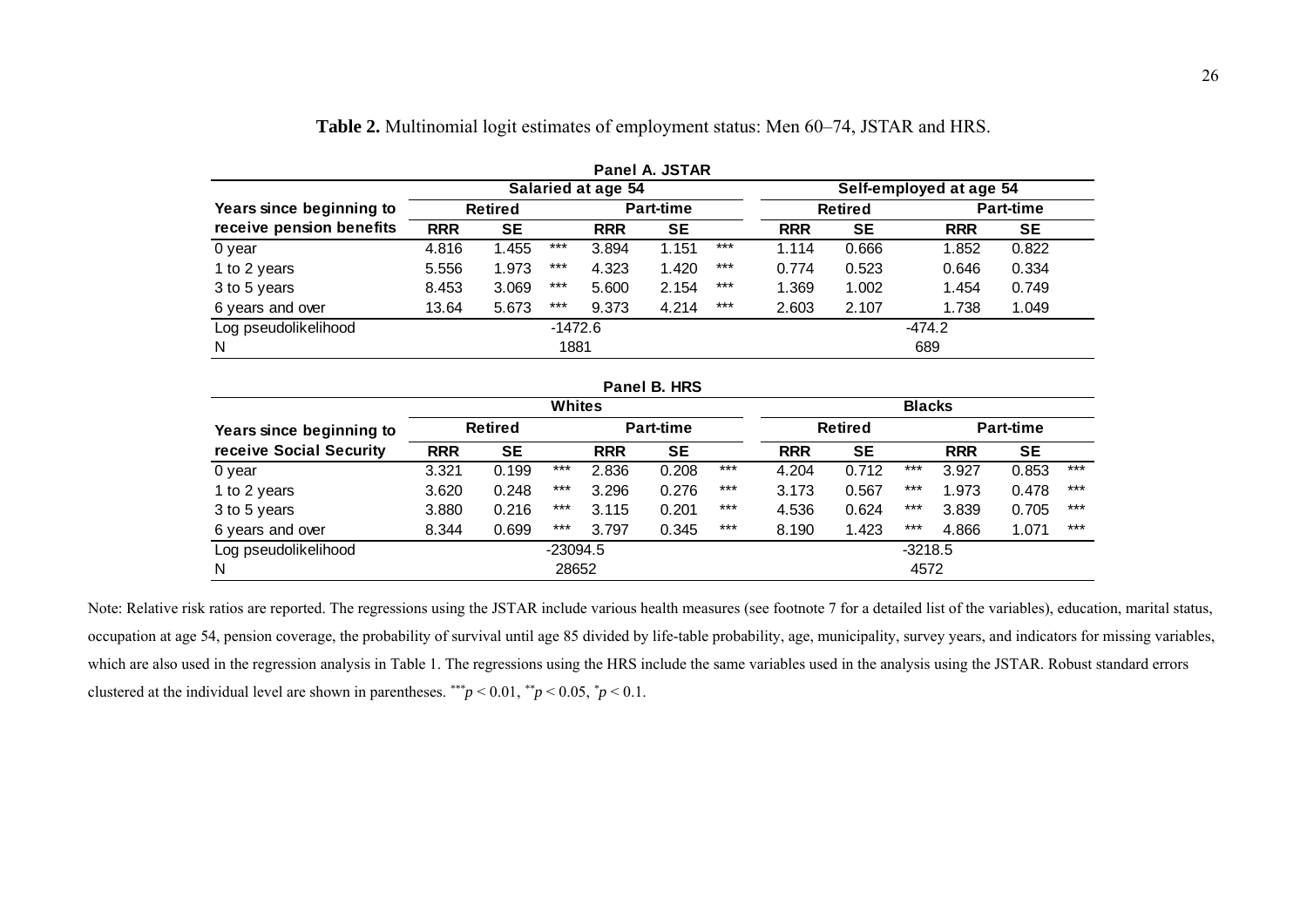|                          | Panel A. JSTAR |                |                  |                    |           |       |            |                |                         |           |  |  |  |  |
|--------------------------|----------------|----------------|------------------|--------------------|-----------|-------|------------|----------------|-------------------------|-----------|--|--|--|--|
|                          |                |                |                  | Salaried at age 54 |           |       |            |                | Self-employed at age 54 |           |  |  |  |  |
| Years since beginning to |                | <b>Retired</b> | <b>Part-time</b> |                    |           |       |            | <b>Retired</b> | <b>Part-time</b>        |           |  |  |  |  |
| receive pension benefits | <b>RRR</b>     | <b>SE</b>      |                  | <b>RRR</b>         | <b>SE</b> |       | <b>RRR</b> | <b>SE</b>      | <b>RRR</b>              | <b>SE</b> |  |  |  |  |
| 0 year                   | 4.816          | l.455          | $***$            | 3.894              | 1.151     | $***$ | 1.114      | 0.666          | 1.852                   | 0.822     |  |  |  |  |
| 1 to 2 years             | 5.556          | 1.973          | $***$            | 4.323              | 1.420     | $***$ | 0.774      | 0.523          | 0.646                   | 0.334     |  |  |  |  |
| 3 to 5 years             | 8.453          | 3.069          | $***$            | 5.600              | 2.154     | $***$ | 1.369      | 1.002          | 1.454                   | 0.749     |  |  |  |  |
| 6 years and over         | 13.64          | 5.673          | $***$            | 9.373              | 4.214     | $***$ | 2.603      | 2.107          | 1.738                   | 1.049     |  |  |  |  |
| Log pseudolikelihood     |                |                | $-1472.6$        |                    |           |       |            |                | $-474.2$                |           |  |  |  |  |
| N                        |                |                | 1881             |                    |           |       |            |                | 689                     |           |  |  |  |  |

| <b>Table 2.</b> Multinomial logit estimates of employment status: Men 60–74, JSTAR and HRS. |  |  |  |
|---------------------------------------------------------------------------------------------|--|--|--|
|                                                                                             |  |  |  |

|                          |            |                |               |            | Panel B. HRS     |       |                |                  |           |            |           |       |  |  |
|--------------------------|------------|----------------|---------------|------------|------------------|-------|----------------|------------------|-----------|------------|-----------|-------|--|--|
|                          |            |                | <b>Whites</b> |            |                  |       | <b>Blacks</b>  |                  |           |            |           |       |  |  |
| Years since beginning to |            | <b>Retired</b> |               |            | <b>Part-time</b> |       | <b>Retired</b> | <b>Part-time</b> |           |            |           |       |  |  |
| receive Social Security  | <b>RRR</b> | <b>SE</b>      |               | <b>RRR</b> | SE               |       | <b>RRR</b>     | <b>SE</b>        |           | <b>RRR</b> | <b>SE</b> |       |  |  |
| 0 year                   | 3.321      | 0.199          | ***           | 2.836      | 0.208            | $***$ | 4.204          | 0.712            | ***       | 3.927      | 0.853     | $***$ |  |  |
| 1 to 2 years             | 3.620      | 0.248          | $***$         | 3.296      | 0.276            | $***$ | 3.173          | 0.567            | $***$     | 1.973      | 0.478     | $***$ |  |  |
| 3 to 5 years             | 3.880      | 0.216          | $***$         | 3.115      | 0.201            | $***$ | 4.536          | 0.624            | $***$     | 3.839      | 0.705     | $***$ |  |  |
| 6 years and over         | 8.344      | 0.699          | $***$         | 3.797      | 0.345            | $***$ | 8.190          | 1.423            | $***$     | 4.866      | 1.071     | $***$ |  |  |
| Log pseudolikelihood     |            |                | -23094.5      |            |                  |       |                |                  | $-3218.5$ |            |           |       |  |  |
| N                        |            |                | 28652         |            |                  |       |                |                  | 4572      |            |           |       |  |  |

Note: Relative risk ratios are reported. The regressions using the JSTAR include various health measures (see footnote 7 for a detailed list of the variables), education, marital status, occupation at age 54, pension coverage, the probability of survival until age 85 divided by life-table probability, age, municipality, survey years, and indicators for missing variables, which are also used in the regression analysis in Table 1. The regressions using the HRS include the same variables used in the analysis using the JSTAR. Robust standard errors clustered at the individual level are shown in parentheses.  $**p < 0.01$ ,  $*p < 0.05$ ,  $p < 0.1$ .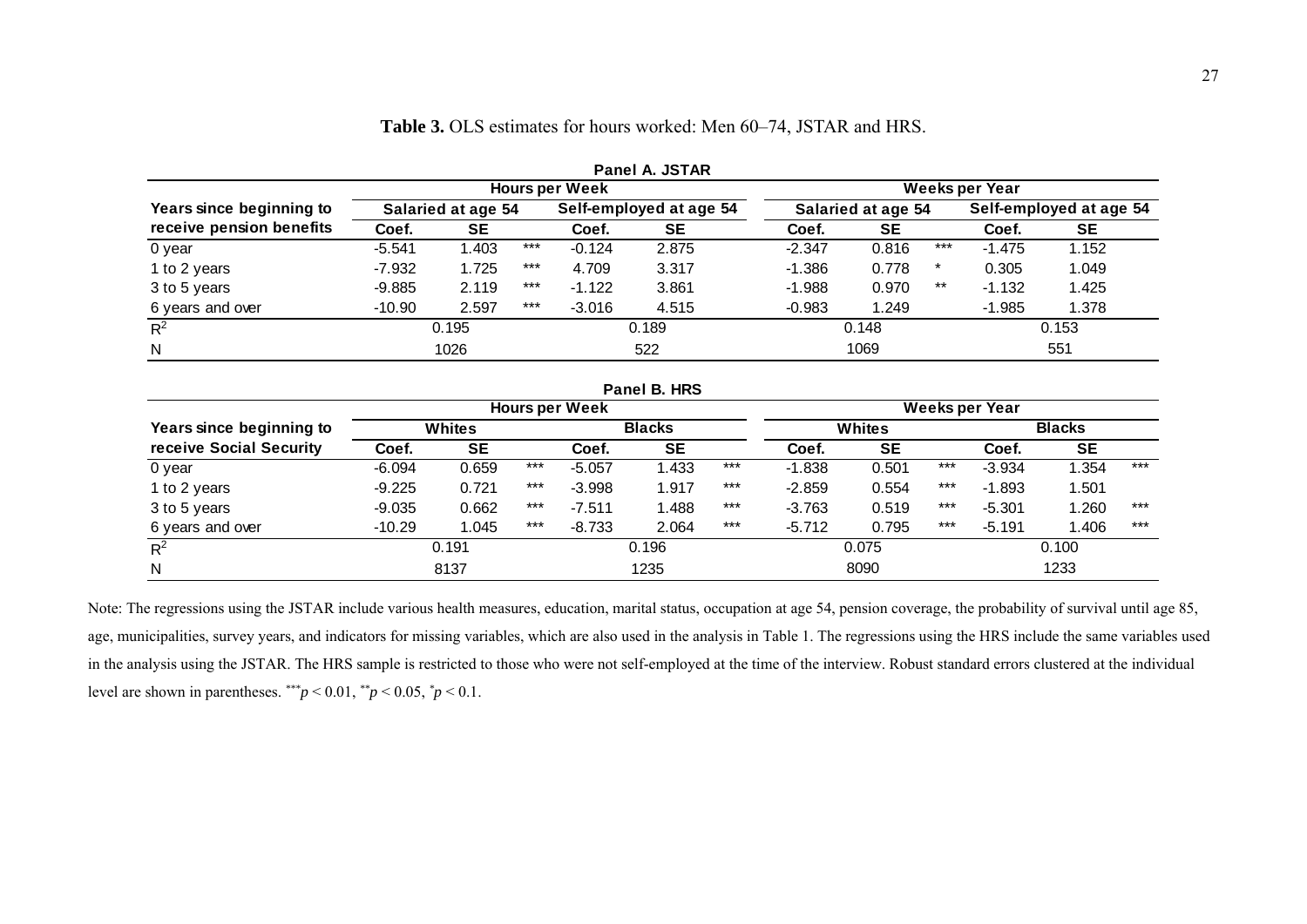|                          |          |                    |       | <b>Hours per Week</b> | Panel A. JSTAR          |          |                    |                         | Weeks per Year |       |
|--------------------------|----------|--------------------|-------|-----------------------|-------------------------|----------|--------------------|-------------------------|----------------|-------|
| Years since beginning to |          | Salaried at age 54 |       |                       | Self-employed at age 54 |          | Salaried at age 54 | Self-employed at age 54 |                |       |
| receive pension benefits | Coef.    | <b>SE</b>          |       | Coef.                 | SE                      | Coef.    | <b>SE</b>          |                         | Coef.          | SE    |
| 0 year                   | $-5.541$ | 1.403              | $***$ | $-0.124$              | 2.875                   | $-2.347$ | 0.816              | $***$                   | $-1.475$       | 1.152 |
| 1 to 2 years             | $-7.932$ | 1.725              | $***$ | 4.709                 | 3.317                   | $-1.386$ | 0.778              | $\ast$                  | 0.305          | 1.049 |
| 3 to 5 years             | $-9.885$ | 2.119              | $***$ | $-1.122$              | 3.861                   | $-1.988$ | 0.970              | $***$                   | $-1.132$       | 1.425 |
| 6 years and over         | $-10.90$ | 2.597              | $***$ | $-3.016$              | 4.515                   | $-0.983$ | 1.249              |                         | $-1.985$       | 1.378 |
| $R^2$                    |          | 0.195              |       |                       | 0.189                   |          | 0.148              |                         |                | 0.153 |
| $\mathsf{N}$             |          | 1026               |       |                       | 522                     |          | 1069               |                         |                | 551   |
|                          |          |                    |       |                       | Panel B. HRS            |          |                    |                         |                |       |

**Table 3.** OLS estimates for hours worked: Men 60–74, JSTAR and HRS.

|                          | Panel B. HRS |           |       |                       |           |       |               |           |       |                |           |       |  |
|--------------------------|--------------|-----------|-------|-----------------------|-----------|-------|---------------|-----------|-------|----------------|-----------|-------|--|
|                          |              |           |       | <b>Hours per Week</b> |           |       |               |           |       | Weeks per Year |           |       |  |
| Years since beginning to | Whites       |           |       | <b>Blacks</b>         |           |       | <b>Whites</b> |           |       | <b>Blacks</b>  |           |       |  |
| receive Social Security  | Coef.        | <b>SE</b> |       | Coef.                 | <b>SE</b> |       | Coef.         | <b>SE</b> |       | Coef.          | <b>SE</b> |       |  |
| 0 year                   | $-6.094$     | 0.659     | $***$ | $-5.057$              | 1.433     | $***$ | $-1.838$      | 0.501     | $***$ | $-3.934$       | .354      | $***$ |  |
| 1 to 2 years             | $-9.225$     | 0.721     | $***$ | $-3.998$              | 1.917     | $***$ | $-2.859$      | 0.554     | $***$ | $-1.893$       | .501      |       |  |
| 3 to 5 years             | $-9.035$     | 0.662     | $***$ | $-7.511$              | 1.488     | $***$ | $-3.763$      | 0.519     | $***$ | $-5.301$       | .260      | $***$ |  |
| 6 years and over         | $-10.29$     | 1.045     | $***$ | $-8.733$              | 2.064     | $***$ | $-5.712$      | 0.795     | $***$ | $-5.191$       | 1.406     | $***$ |  |
| $R^2$                    |              | 0.191     |       |                       | 0.196     |       |               | 0.075     |       |                | 0.100     |       |  |
| N                        |              | 8137      | 1235  |                       |           | 8090  |               |           | 1233  |                |           |       |  |

Note: The regressions using the JSTAR include various health measures, education, marital status, occupation at age 54, pension coverage, the probability of survival until age 85, age, municipalities, survey years, and indicators for missing variables, which are also used in the analysis in Table 1. The regressions using the HRS include the same variables used in the analysis using the JSTAR. The HRS sample is restricted to those who were not self-employed at the time of the interview. Robust standard errors clustered at the individual level are shown in parentheses.  $**p < 0.01$ ,  $*p < 0.05$ ,  $*p < 0.1$ .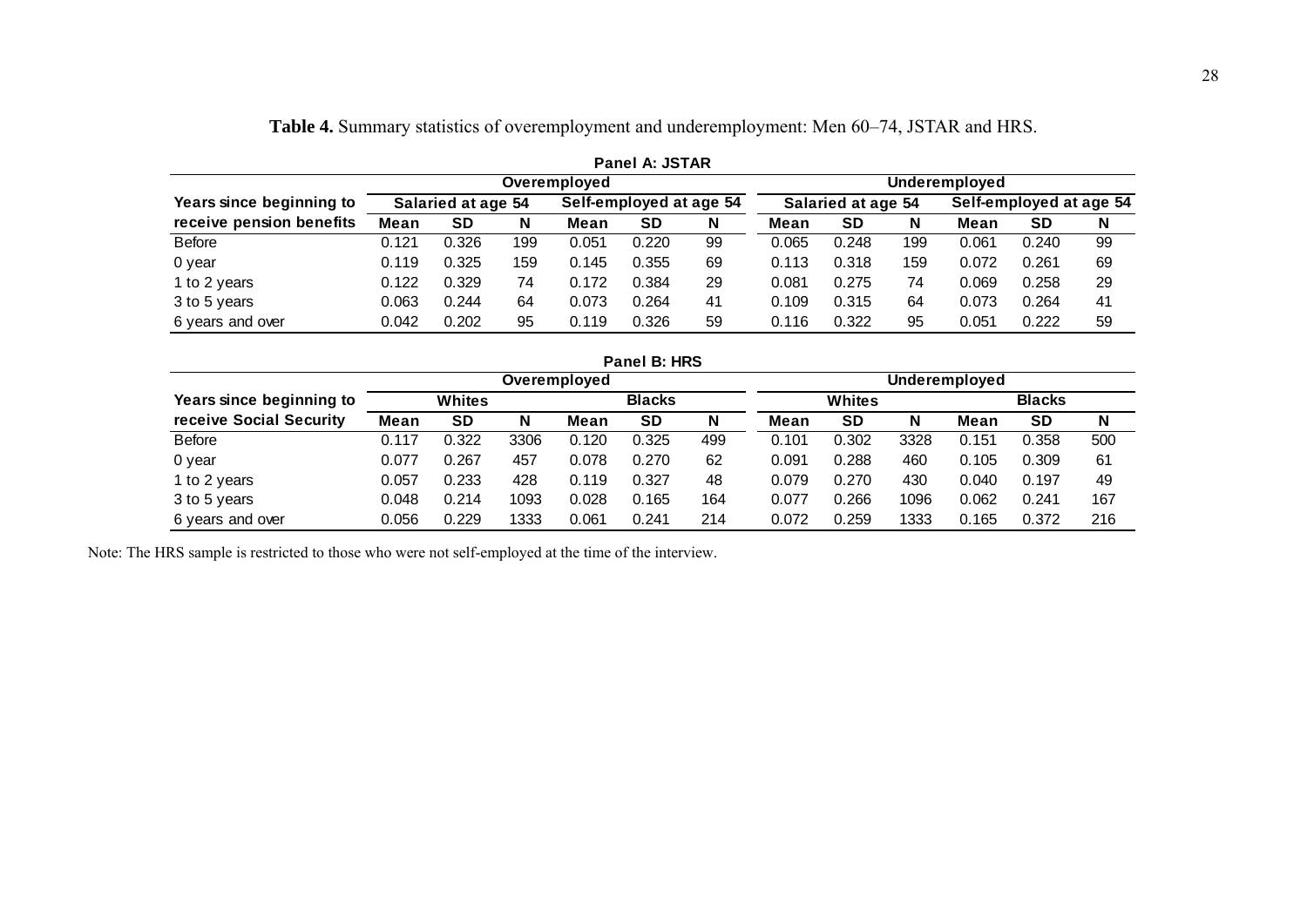|                          | <b>Panel A: JSTAR</b>         |                    |     |       |                         |    |       |                    |     |       |                         |    |  |  |
|--------------------------|-------------------------------|--------------------|-----|-------|-------------------------|----|-------|--------------------|-----|-------|-------------------------|----|--|--|
|                          | Underemployed<br>Overemployed |                    |     |       |                         |    |       |                    |     |       |                         |    |  |  |
| Years since beginning to |                               | Salaried at age 54 |     |       | Self-employed at age 54 |    |       | Salaried at age 54 |     |       | Self-employed at age 54 |    |  |  |
| receive pension benefits | Mean                          | <b>SD</b>          | N   | Mean  | <b>SD</b>               | N  | Mean  | <b>SD</b>          | N   | Mean  | <b>SD</b>               | N  |  |  |
| Before                   | 0.121                         | 0.326              | 199 | 0.051 | 0.220                   | 99 | 0.065 | 0.248              | 199 | 0.061 | 0.240                   | 99 |  |  |
| 0 year                   | 0.119                         | 0.325              | 159 | 0.145 | 0.355                   | 69 | 0.113 | 0.318              | 159 | 0.072 | 0.261                   | 69 |  |  |
| 1 to 2 years             | 0.122                         | 0.329              | 74  | 0.172 | 0.384                   | 29 | 0.081 | 0.275              | 74  | 0.069 | 0.258                   | 29 |  |  |
| 3 to 5 years             | 0.063                         | 0.244              | 64  | 0.073 | 0.264                   | 41 | 0.109 | 0.315              | 64  | 0.073 | 0.264                   | 41 |  |  |
| 6 years and over         | 0.042                         | 0.202              | 95  | 0.119 | 0.326                   | 59 | 0.116 | 0.322              | 95  | 0.051 | 0.222                   | 59 |  |  |

**Table 4.** Summary statistics of overemployment and underemployment: Men 60–74, JSTAR and HRS.

|                          |       |           |      |              | Panel B: HRS  |     |       |           |      |               |               |     |
|--------------------------|-------|-----------|------|--------------|---------------|-----|-------|-----------|------|---------------|---------------|-----|
|                          |       |           |      | Overemployed |               |     |       |           |      | Underemployed |               |     |
| Years since beginning to |       | Whites    |      |              | <b>Blacks</b> |     |       | Whites    |      |               | <b>Blacks</b> |     |
| receive Social Security  | Mean  | <b>SD</b> | N    | Mean         | <b>SD</b>     | N   | Mean  | <b>SD</b> | N    | Mean          | <b>SD</b>     | N   |
| <b>Before</b>            | 0.117 | 0.322     | 3306 | 0.120        | 0.325         | 499 | 0.101 | 0.302     | 3328 | 0.151         | 0.358         | 500 |
| 0 year                   | 0.077 | 0.267     | 457  | 0.078        | 0.270         | 62  | 0.091 | 0.288     | 460  | 0.105         | 0.309         | 61  |
| 1 to 2 years             | 0.057 | 0.233     | 428  | 0.119        | 0.327         | 48  | 0.079 | 0.270     | 430  | 0.040         | 0.197         | 49  |
| 3 to 5 years             | 0.048 | 0.214     | 1093 | 0.028        | 0.165         | 164 | 0.077 | 0.266     | 1096 | 0.062         | 0.241         | 167 |
| 6 years and over         | 0.056 | 0.229     | 1333 | 0.061        | 0.241         | 214 | 0.072 | 0.259     | 1333 | 0.165         | 0.372         | 216 |

Note: The HRS sample is restricted to those who were not self-employed at the time of the interview.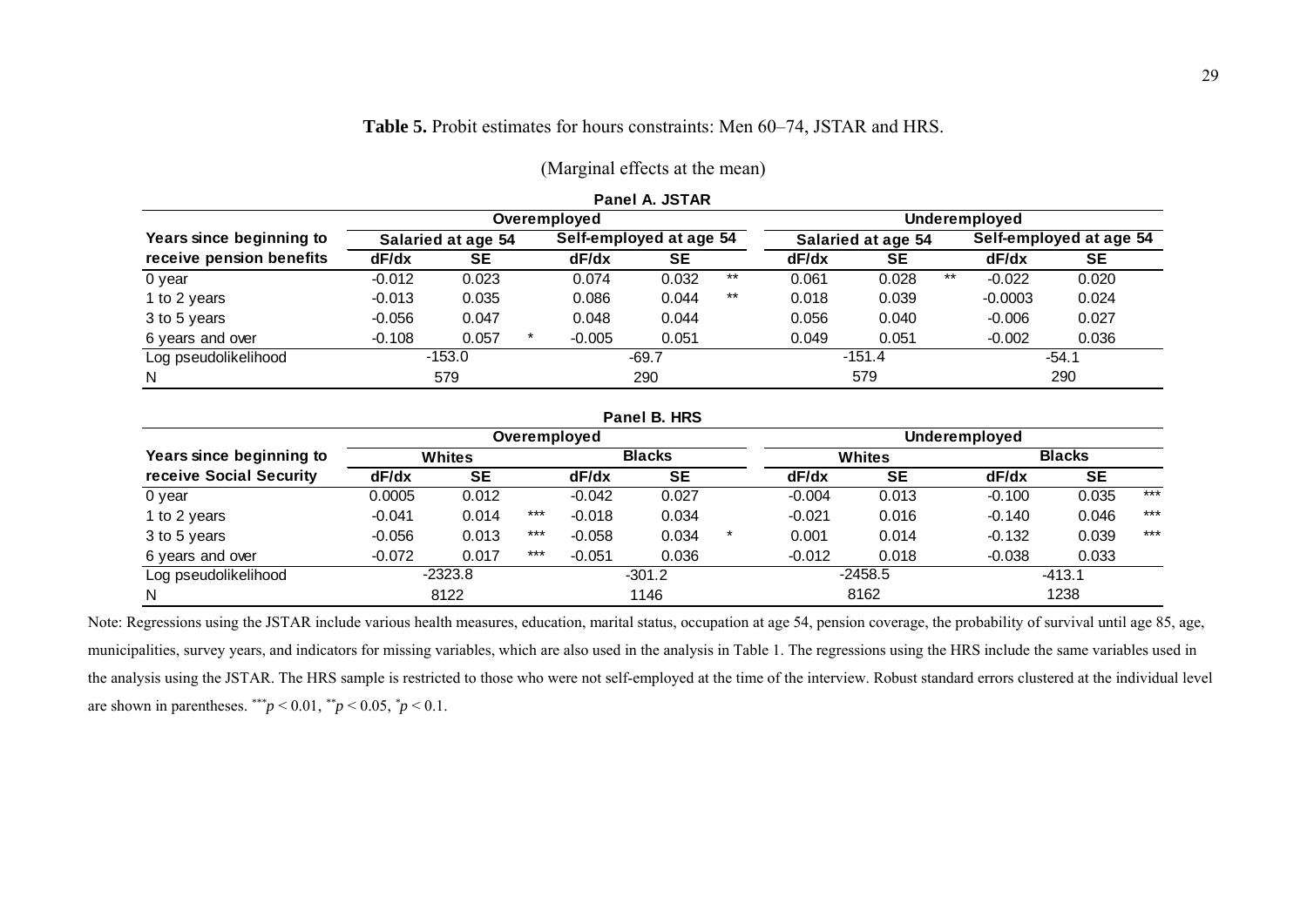|                          |                    |          |         |                         | Panel A. JSTAR |       |                    |          |       |                         |         |  |
|--------------------------|--------------------|----------|---------|-------------------------|----------------|-------|--------------------|----------|-------|-------------------------|---------|--|
|                          |                    |          |         | Overemployed            |                |       |                    |          |       | Underemployed           |         |  |
| Years since beginning to | Salaried at age 54 |          |         | Self-employed at age 54 |                |       | Salaried at age 54 |          |       | Self-employed at age 54 |         |  |
| receive pension benefits | dF/dx              | SE       |         | dF/dx                   | <b>SE</b>      |       | dF/dx              | SE       |       | dF/dx                   | SE      |  |
| 0 year                   | $-0.012$           | 0.023    |         | 0.074                   | 0.032          | $***$ | 0.061              | 0.028    | $***$ | $-0.022$                | 0.020   |  |
| 1 to 2 years             | $-0.013$           | 0.035    |         | 0.086                   | 0.044          | $***$ | 0.018              | 0.039    |       | $-0.0003$               | 0.024   |  |
| 3 to 5 years             | $-0.056$           | 0.047    |         | 0.048                   | 0.044          |       | 0.056              | 0.040    |       | $-0.006$                | 0.027   |  |
| 6 years and over         | $-0.108$           | 0.057    | $\star$ | $-0.005$                | 0.051          |       | 0.049              | 0.051    |       | $-0.002$                | 0.036   |  |
| Log pseudolikelihood     |                    | $-153.0$ |         |                         | $-69.7$        |       |                    | $-151.4$ |       |                         | $-54.1$ |  |
| N                        |                    | 579      |         |                         | 290            |       |                    | 579      |       |                         | 290     |  |

#### **Table 5.** Probit estimates for hours constraints: Men 60–74, JSTAR and HRS.

(Marginal effects at the mean)

|                          |          |               |       |               | Panel B. HRS |  |          |               |               |           |       |
|--------------------------|----------|---------------|-------|---------------|--------------|--|----------|---------------|---------------|-----------|-------|
|                          |          |               |       | Overemployed  |              |  |          |               | Underemployed |           |       |
| Years since beginning to |          | <b>Whites</b> |       | <b>Blacks</b> |              |  |          | <b>Whites</b> | <b>Blacks</b> |           |       |
| receive Social Security  | dF/dx    | <b>SE</b>     |       | dF/dx         | <b>SE</b>    |  | dF/dx    | <b>SE</b>     | dF/dx         | <b>SE</b> |       |
| 0 year                   | 0.0005   | 0.012         |       | $-0.042$      | 0.027        |  | $-0.004$ | 0.013         | $-0.100$      | 0.035     | $***$ |
| 1 to 2 years             | $-0.041$ | 0.014         | $***$ | $-0.018$      | 0.034        |  | $-0.021$ | 0.016         | $-0.140$      | 0.046     | $***$ |
| 3 to 5 years             | $-0.056$ | 0.013         | $***$ | $-0.058$      | 0.034        |  | 0.001    | 0.014         | $-0.132$      | 0.039     | $***$ |
| 6 years and over         | $-0.072$ | 0.017         | $***$ | $-0.051$      | 0.036        |  | $-0.012$ | 0.018         | $-0.038$      | 0.033     |       |
| Log pseudolikelihood     |          | $-2323.8$     |       |               | $-301.2$     |  |          | $-2458.5$     |               | $-413.1$  |       |
| N                        |          | 8122          |       |               | 1146         |  |          | 8162          |               | 1238      |       |

Note: Regressions using the JSTAR include various health measures, education, marital status, occupation at age 54, pension coverage, the probability of survival until age 85, age, municipalities, survey years, and indicators for missing variables, which are also used in the analysis in Table 1. The regressions using the HRS include the same variables used in the analysis using the JSTAR. The HRS sample is restricted to those who were not self-employed at the time of the interview. Robust standard errors clustered at the individual level are shown in parentheses.  $*^{**}p < 0.01$ ,  $*^{*}p < 0.05$ ,  $*p < 0.1$ .